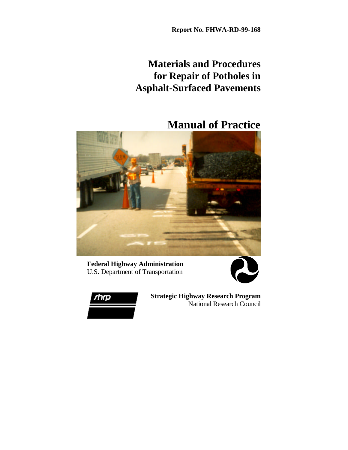**Report No. FHWA-RD-99-168**

## **Materials and Procedures for Repair of Potholes in Asphalt-Surfaced Pavements**

### **Manual of Practice**



**Federal Highway Administration** U.S. Department of Transportation





**Strategic Highway Research Program** National Research Council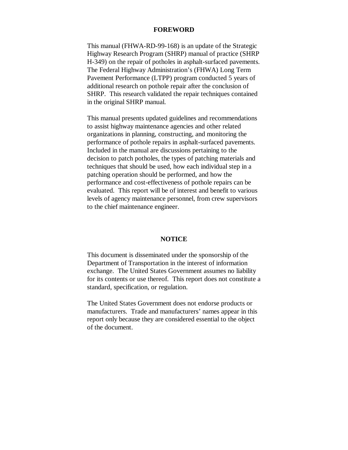#### **FOREWORD**

This manual (FHWA-RD-99-168) is an update of the Strategic Highway Research Program (SHRP) manual of practice (SHRP H-349) on the repair of potholes in asphalt-surfaced pavements. The Federal Highway Administration's (FHWA) Long Term Pavement Performance (LTPP) program conducted 5 years of additional research on pothole repair after the conclusion of SHRP. This research validated the repair techniques contained in the original SHRP manual.

This manual presents updated guidelines and recommendations to assist highway maintenance agencies and other related organizations in planning, constructing, and monitoring the performance of pothole repairs in asphalt-surfaced pavements. Included in the manual are discussions pertaining to the decision to patch potholes, the types of patching materials and techniques that should be used, how each individual step in a patching operation should be performed, and how the performance and cost-effectiveness of pothole repairs can be evaluated. This report will be of interest and benefit to various levels of agency maintenance personnel, from crew supervisors to the chief maintenance engineer.

#### **NOTICE**

This document is disseminated under the sponsorship of the Department of Transportation in the interest of information exchange. The United States Government assumes no liability for its contents or use thereof. This report does not constitute a standard, specification, or regulation.

The United States Government does not endorse products or manufacturers. Trade and manufacturers' names appear in this report only because they are considered essential to the object of the document.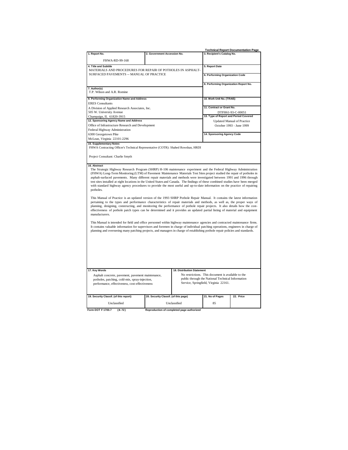|                                                                                                                                  |                                      |                                                                                            |                                                    | Technical Report Documentation Page |
|----------------------------------------------------------------------------------------------------------------------------------|--------------------------------------|--------------------------------------------------------------------------------------------|----------------------------------------------------|-------------------------------------|
| 1. Report No.                                                                                                                    | 2. Government Accession No.          |                                                                                            | 3. Recipient's Catalog No.                         |                                     |
|                                                                                                                                  |                                      |                                                                                            |                                                    |                                     |
| FHWA-RD-99-168                                                                                                                   |                                      |                                                                                            |                                                    |                                     |
| 4. Title and Subtitle                                                                                                            |                                      |                                                                                            | 5. Report Date                                     |                                     |
| MATERIALS AND PROCEDURES FOR REPAIR OF POTHOLES IN ASPHALT-                                                                      |                                      |                                                                                            |                                                    |                                     |
| SURFACED PAVEMENTS -- MANUAL OF PRACTICE                                                                                         |                                      |                                                                                            | 6. Performing Organization Code                    |                                     |
|                                                                                                                                  |                                      |                                                                                            |                                                    |                                     |
|                                                                                                                                  |                                      |                                                                                            | 8. Performing Organization Report No.              |                                     |
| 7. Author(s)                                                                                                                     |                                      |                                                                                            |                                                    |                                     |
| T.P. Wilson and A.R. Romine                                                                                                      |                                      |                                                                                            |                                                    |                                     |
| 9. Performing Organization Name and Address                                                                                      |                                      |                                                                                            |                                                    |                                     |
|                                                                                                                                  |                                      |                                                                                            | 10. Work Unit No. (TRAIS)                          |                                     |
| <b>ERES</b> Consultants                                                                                                          |                                      |                                                                                            | 11. Contract or Grant No.                          |                                     |
| A Division of Applied Research Associates, Inc.                                                                                  |                                      |                                                                                            |                                                    |                                     |
| 505 W. University Avenue                                                                                                         |                                      |                                                                                            |                                                    | DTFH61-93-C-00051                   |
| Champaign, IL 61820-3915                                                                                                         |                                      |                                                                                            | 13. Type of Report and Period Covered              |                                     |
| 12. Sponsoring Agency Name and Address                                                                                           |                                      |                                                                                            |                                                    | <b>Updated Manual of Practice</b>   |
| Office of Infrastructure Research and Development                                                                                |                                      |                                                                                            |                                                    | October 1993 - June 1999            |
| Federal Highway Administration                                                                                                   |                                      |                                                                                            |                                                    |                                     |
| 6300 Georgetown Pike                                                                                                             |                                      |                                                                                            | 14. Sponsoring Agency Code                         |                                     |
| McLean, Virginia 22101-2296                                                                                                      |                                      |                                                                                            |                                                    |                                     |
| 15. Supplementary Notes                                                                                                          |                                      |                                                                                            |                                                    |                                     |
| FHWA Contracting Officer's Technical Representative (COTR): Shahed Rowshan, HRDI                                                 |                                      |                                                                                            |                                                    |                                     |
|                                                                                                                                  |                                      |                                                                                            |                                                    |                                     |
| Project Consultant: Charlie Smyth                                                                                                |                                      |                                                                                            |                                                    |                                     |
|                                                                                                                                  |                                      |                                                                                            |                                                    |                                     |
| 16. Abstract                                                                                                                     |                                      |                                                                                            |                                                    |                                     |
| The Strategic Highway Research Program (SHRP) H-106 maintenance experiment and the Federal Highway Administration                |                                      |                                                                                            |                                                    |                                     |
| (FHWA) Long-Term Monitoring (LTM) of Pavement Maintenance Materials Test Sites project studied the repair of potholes in         |                                      |                                                                                            |                                                    |                                     |
| asphalt-surfaced pavements. Many different repair materials and methods were investigated between 1991 and 1996 through          |                                      |                                                                                            |                                                    |                                     |
| test sites installed at eight locations in the United States and Canada. The findings of these combined studies have been merged |                                      |                                                                                            |                                                    |                                     |
| with standard highway agency procedures to provide the most useful and up-to-date information on the practice of repairing       |                                      |                                                                                            |                                                    |                                     |
| potholes.                                                                                                                        |                                      |                                                                                            |                                                    |                                     |
|                                                                                                                                  |                                      |                                                                                            |                                                    |                                     |
| This Manual of Practice is an updated version of the 1993 SHRP Pothole Repair Manual. It contains the latest information         |                                      |                                                                                            |                                                    |                                     |
| pertaining to the types and performance characteristics of repair materials and methods, as well as, the proper ways of          |                                      |                                                                                            |                                                    |                                     |
| planning, designing, constructing, and monitoring the performance of pothole repair projects. It also details how the cost-      |                                      |                                                                                            |                                                    |                                     |
| effectiveness of pothole patch types can be determined and it provides an updated partial listing of material and equipment      |                                      |                                                                                            |                                                    |                                     |
| manufacturers.                                                                                                                   |                                      |                                                                                            |                                                    |                                     |
|                                                                                                                                  |                                      |                                                                                            |                                                    |                                     |
| This Manual is intended for field and office personnel within highway maintenance agencies and contracted maintenance firms.     |                                      |                                                                                            |                                                    |                                     |
| It contains valuable information for supervisors and foremen in charge of individual patching operations, engineers in charge of |                                      |                                                                                            |                                                    |                                     |
| planning and overseeing many patching projects, and managers in charge of establishing pothole repair policies and standards.    |                                      |                                                                                            |                                                    |                                     |
|                                                                                                                                  |                                      |                                                                                            |                                                    |                                     |
|                                                                                                                                  |                                      |                                                                                            |                                                    |                                     |
|                                                                                                                                  |                                      |                                                                                            |                                                    |                                     |
|                                                                                                                                  |                                      |                                                                                            |                                                    |                                     |
|                                                                                                                                  |                                      |                                                                                            |                                                    |                                     |
|                                                                                                                                  |                                      |                                                                                            |                                                    |                                     |
|                                                                                                                                  |                                      |                                                                                            |                                                    |                                     |
|                                                                                                                                  |                                      |                                                                                            |                                                    |                                     |
| 17. Key Words                                                                                                                    |                                      | 18. Distribution Statement                                                                 |                                                    |                                     |
|                                                                                                                                  |                                      |                                                                                            | No restrictions. This document is available to the |                                     |
| Asphalt concrete, pavement, pavement maintenance,                                                                                |                                      |                                                                                            |                                                    |                                     |
| potholes, patching, cold-mix, spray-injection,                                                                                   |                                      | public through the National Technical Information<br>Service, Springfield, Virginia 22161. |                                                    |                                     |
| performance, effectiveness, cost-effectiveness                                                                                   |                                      |                                                                                            |                                                    |                                     |
|                                                                                                                                  |                                      |                                                                                            |                                                    |                                     |
|                                                                                                                                  |                                      |                                                                                            |                                                    | 22. Price                           |
| 19. Security Classif. (of this report)                                                                                           | 20. Security Classif. (of this page) |                                                                                            | 21. No of Pages                                    |                                     |
| Unclassified                                                                                                                     |                                      | Unclassified                                                                               | 85                                                 |                                     |
|                                                                                                                                  |                                      |                                                                                            |                                                    |                                     |

**Form DOT F 1700.7 (8-72) Reproduction of completed page authorized**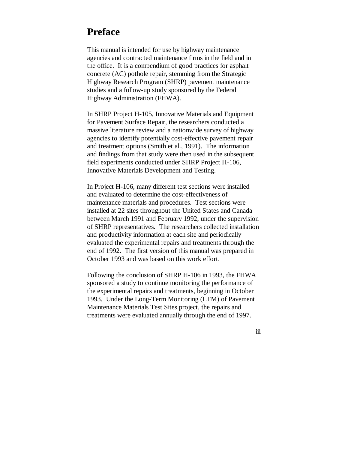### **Preface**

This manual is intended for use by highway maintenance agencies and contracted maintenance firms in the field and in the office. It is a compendium of good practices for asphalt concrete (AC) pothole repair, stemming from the Strategic Highway Research Program (SHRP) pavement maintenance studies and a follow-up study sponsored by the Federal Highway Administration (FHWA).

In SHRP Project H-105, Innovative Materials and Equipment for Pavement Surface Repair, the researchers conducted a massive literature review and a nationwide survey of highway agencies to identify potentially cost-effective pavement repair and treatment options (Smith et al., 1991). The information and findings from that study were then used in the subsequent field experiments conducted under SHRP Project H-106, Innovative Materials Development and Testing.

In Project H-106, many different test sections were installed and evaluated to determine the cost-effectiveness of maintenance materials and procedures. Test sections were installed at 22 sites throughout the United States and Canada between March 1991 and February 1992, under the supervision of SHRP representatives. The researchers collected installation and productivity information at each site and periodically evaluated the experimental repairs and treatments through the end of 1992. The first version of this manual was prepared in October 1993 and was based on this work effort.

Following the conclusion of SHRP H-106 in 1993, the FHWA sponsored a study to continue monitoring the performance of the experimental repairs and treatments, beginning in October 1993. Under the Long-Term Monitoring (LTM) of Pavement Maintenance Materials Test Sites project, the repairs and treatments were evaluated annually through the end of 1997.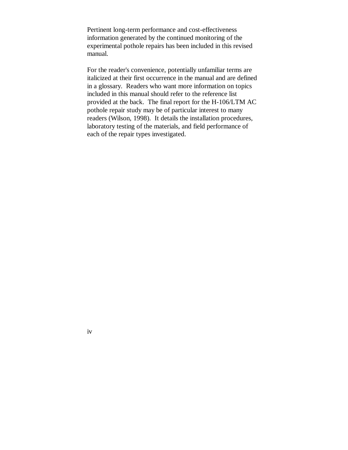Pertinent long-term performance and cost-effectiveness information generated by the continued monitoring of the experimental pothole repairs has been included in this revised manual.

For the reader's convenience, potentially unfamiliar terms are italicized at their first occurrence in the manual and are defined in a glossary. Readers who want more information on topics included in this manual should refer to the reference list provided at the back. The final report for the H-106/LTM AC pothole repair study may be of particular interest to many readers (Wilson, 1998). It details the installation procedures, laboratory testing of the materials, and field performance of each of the repair types investigated.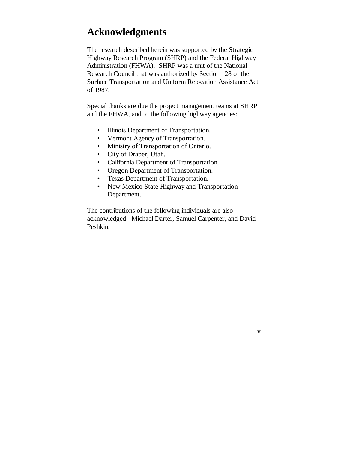## **Acknowledgments**

The research described herein was supported by the Strategic Highway Research Program (SHRP) and the Federal Highway Administration (FHWA). SHRP was a unit of the National Research Council that was authorized by Section 128 of the Surface Transportation and Uniform Relocation Assistance Act of 1987.

Special thanks are due the project management teams at SHRP and the FHWA, and to the following highway agencies:

- Illinois Department of Transportation.
- Vermont Agency of Transportation.
- Ministry of Transportation of Ontario.
- City of Draper, Utah.
- California Department of Transportation.
- Oregon Department of Transportation.
- Texas Department of Transportation.
- New Mexico State Highway and Transportation Department.

The contributions of the following individuals are also acknowledged: Michael Darter, Samuel Carpenter, and David Peshkin.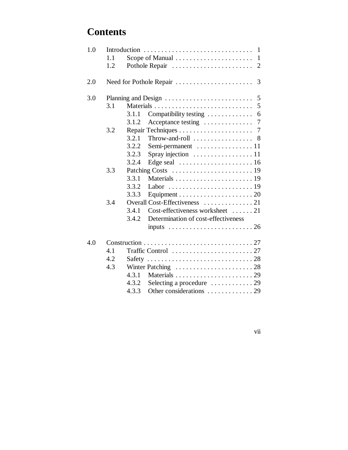## **Contents**

| 1.0 |       | $\mathbf{1}$                                                     |   |  |  |
|-----|-------|------------------------------------------------------------------|---|--|--|
|     | 1.1   |                                                                  |   |  |  |
|     | 1.2   |                                                                  |   |  |  |
| 2.0 |       | Need for Pothole Repair                                          | 3 |  |  |
| 3.0 |       |                                                                  | 5 |  |  |
|     | 3.1   |                                                                  | 5 |  |  |
|     |       | Compatibility testing<br>3.1.1                                   | 6 |  |  |
|     |       | 3.1.2                                                            |   |  |  |
|     | 3.2   |                                                                  |   |  |  |
|     |       | Throw-and-roll $\ldots \ldots \ldots \ldots$ 8<br>3.2.1          |   |  |  |
|     |       | 3.2.2<br>Semi-permanent 11                                       |   |  |  |
|     |       | 3.2.3<br>Spray injection $\ldots \ldots \ldots \ldots \ldots 11$ |   |  |  |
|     |       | 3.2.4                                                            |   |  |  |
|     | 3.3   |                                                                  |   |  |  |
|     |       | 3.3.1                                                            |   |  |  |
|     |       | 3.3.2                                                            |   |  |  |
|     |       | 3.3.3                                                            |   |  |  |
|     | 3.4   | Overall Cost-Effectiveness 21                                    |   |  |  |
|     |       | Cost-effectiveness worksheet 21<br>3.4.1                         |   |  |  |
|     |       | Determination of cost-effectiveness<br>3.4.2                     |   |  |  |
|     |       | inputs $\ldots \ldots \ldots \ldots \ldots \ldots \ldots 26$     |   |  |  |
| 4.0 |       |                                                                  |   |  |  |
|     | 4.1   |                                                                  |   |  |  |
|     | 4.2   |                                                                  |   |  |  |
|     | 4.3   |                                                                  |   |  |  |
|     |       | 4.3.1                                                            |   |  |  |
|     |       | 4.3.2                                                            |   |  |  |
|     | 4.3.3 |                                                                  |   |  |  |
|     |       |                                                                  |   |  |  |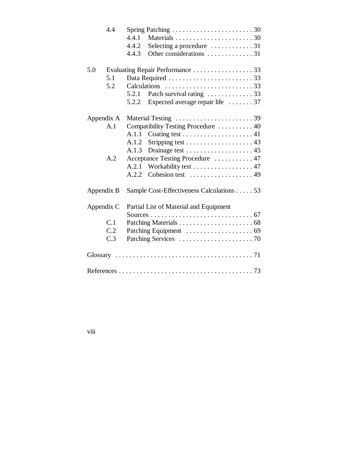| 4.4        |                                           |  |
|------------|-------------------------------------------|--|
|            | 4.4.1                                     |  |
|            | 4.4.2                                     |  |
|            | 4.4.3                                     |  |
| 5.0        | Evaluating Repair Performance 33          |  |
| 5.1        |                                           |  |
| 5.2        |                                           |  |
|            | Patch survival rating  33<br>5.2.1        |  |
|            | Expected average repair life 37<br>5.2.2  |  |
| Appendix A |                                           |  |
| A.1        | Compatibility Testing Procedure  40       |  |
|            | A.1.1                                     |  |
|            |                                           |  |
|            | A.1.3                                     |  |
| A.2        | Acceptance Testing Procedure  47          |  |
|            | Workability test 47<br>A.2.1              |  |
|            | Cohesion test  49<br>A.2.2                |  |
| Appendix B | Sample Cost-Effectiveness Calculations 53 |  |
| Appendix C | Partial List of Material and Equipment    |  |
|            |                                           |  |
| C.1        |                                           |  |
| C.2        |                                           |  |
| C.3        |                                           |  |
|            |                                           |  |
|            |                                           |  |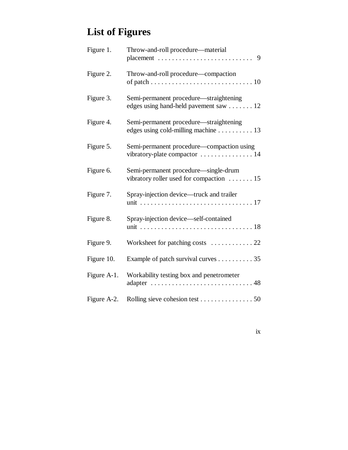# **List of Figures**

| Figure 1.   | Throw-and-roll procedure-material                                                             |
|-------------|-----------------------------------------------------------------------------------------------|
| Figure 2.   | Throw-and-roll procedure—compaction                                                           |
| Figure 3.   | Semi-permanent procedure—straightening<br>edges using hand-held pavement saw $\dots \dots 12$ |
| Figure 4.   | Semi-permanent procedure—straightening<br>edges using cold-milling machine 13                 |
| Figure 5.   | Semi-permanent procedure—compaction using<br>vibratory-plate compactor  14                    |
| Figure 6.   | Semi-permanent procedure—single-drum<br>vibratory roller used for compaction $\dots \dots 15$ |
| Figure 7.   | Spray-injection device—truck and trailer                                                      |
| Figure 8.   | Spray-injection device—self-contained                                                         |
| Figure 9.   | Worksheet for patching costs  22                                                              |
| Figure 10.  | Example of patch survival curves 35                                                           |
| Figure A-1. | Workability testing box and penetrometer                                                      |
| Figure A-2. | Rolling sieve cohesion test 50                                                                |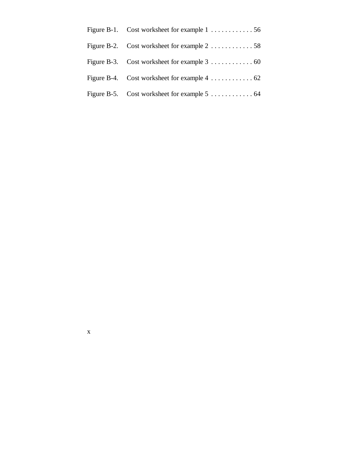| Figure B-2. Cost worksheet for example 2 58                               |
|---------------------------------------------------------------------------|
| Figure B-3. Cost worksheet for example $3 \ldots \ldots \ldots \ldots 60$ |
| Figure B-4. Cost worksheet for example $4 \ldots \ldots \ldots \ldots 62$ |
| Figure B-5. Cost worksheet for example 5 64                               |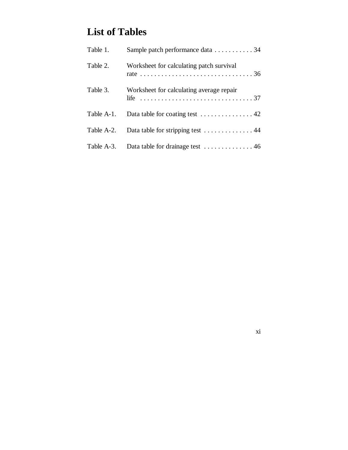## **List of Tables**

| Table 1.   | Sample patch performance data 34         |
|------------|------------------------------------------|
| Table 2.   | Worksheet for calculating patch survival |
| Table 3.   | Worksheet for calculating average repair |
| Table A-1. |                                          |
| Table A-2. | Data table for stripping test 44         |
| Table A-3. |                                          |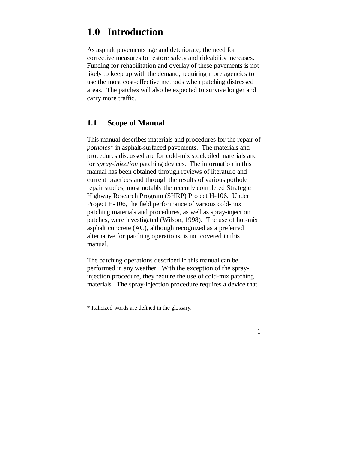# **1.0 Introduction**

As asphalt pavements age and deteriorate, the need for corrective measures to restore safety and rideability increases. Funding for rehabilitation and overlay of these pavements is not likely to keep up with the demand, requiring more agencies to use the most cost-effective methods when patching distressed areas. The patches will also be expected to survive longer and carry more traffic.

### **1.1 Scope of Manual**

This manual describes materials and procedures for the repair of *potholes*\* in asphalt-surfaced pavements. The materials and procedures discussed are for cold-mix stockpiled materials and for *spray-injection* patching devices. The information in this manual has been obtained through reviews of literature and current practices and through the results of various pothole repair studies, most notably the recently completed Strategic Highway Research Program (SHRP) Project H-106. Under Project H-106, the field performance of various cold-mix patching materials and procedures, as well as spray-injection patches, were investigated (Wilson, 1998). The use of hot-mix asphalt concrete (AC), although recognized as a preferred alternative for patching operations, is not covered in this manual.

The patching operations described in this manual can be performed in any weather. With the exception of the sprayinjection procedure, they require the use of cold-mix patching materials. The spray-injection procedure requires a device that

<sup>\*</sup> Italicized words are defined in the glossary.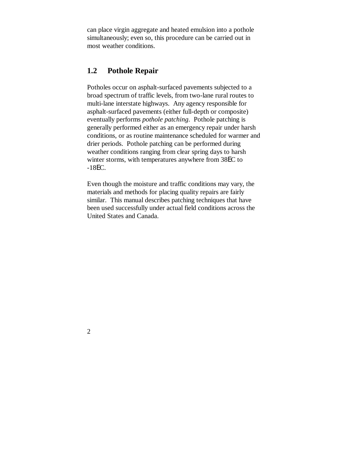can place virgin aggregate and heated emulsion into a pothole simultaneously; even so, this procedure can be carried out in most weather conditions.

### **1.2 Pothole Repair**

Potholes occur on asphalt-surfaced pavements subjected to a broad spectrum of traffic levels, from two-lane rural routes to multi-lane interstate highways. Any agency responsible for asphalt-surfaced pavements (either full-depth or composite) eventually performs *pothole patching*. Pothole patching is generally performed either as an emergency repair under harsh conditions, or as routine maintenance scheduled for warmer and drier periods. Pothole patching can be performed during weather conditions ranging from clear spring days to harsh winter storms, with temperatures anywhere from 38EC to -18EC.

Even though the moisture and traffic conditions may vary, the materials and methods for placing quality repairs are fairly similar. This manual describes patching techniques that have been used successfully under actual field conditions across the United States and Canada.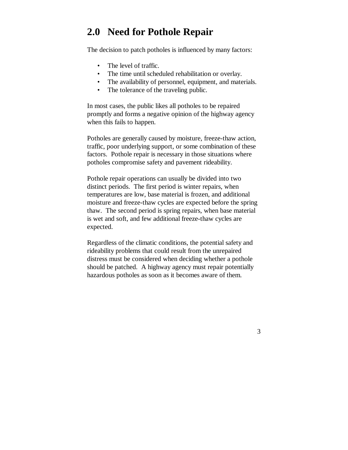## **2.0 Need for Pothole Repair**

The decision to patch potholes is influenced by many factors:

- The level of traffic.
- The time until scheduled rehabilitation or overlay.
- The availability of personnel, equipment, and materials.
- The tolerance of the traveling public.

In most cases, the public likes all potholes to be repaired promptly and forms a negative opinion of the highway agency when this fails to happen.

Potholes are generally caused by moisture, freeze-thaw action, traffic, poor underlying support, or some combination of these factors. Pothole repair is necessary in those situations where potholes compromise safety and pavement rideability.

Pothole repair operations can usually be divided into two distinct periods. The first period is winter repairs, when temperatures are low, base material is frozen, and additional moisture and freeze-thaw cycles are expected before the spring thaw. The second period is spring repairs, when base material is wet and soft, and few additional freeze-thaw cycles are expected.

Regardless of the climatic conditions, the potential safety and rideability problems that could result from the unrepaired distress must be considered when deciding whether a pothole should be patched. A highway agency must repair potentially hazardous potholes as soon as it becomes aware of them.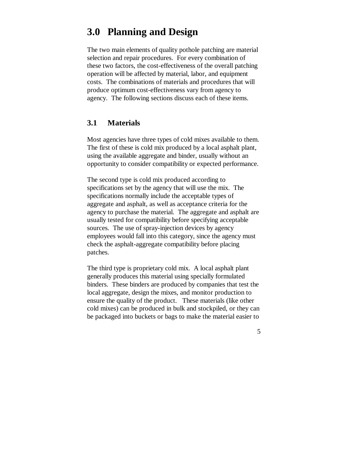# **3.0 Planning and Design**

The two main elements of quality pothole patching are material selection and repair procedures. For every combination of these two factors, the cost-effectiveness of the overall patching operation will be affected by material, labor, and equipment costs. The combinations of materials and procedures that will produce optimum cost-effectiveness vary from agency to agency. The following sections discuss each of these items.

### **3.1 Materials**

Most agencies have three types of cold mixes available to them. The first of these is cold mix produced by a local asphalt plant, using the available aggregate and binder, usually without an opportunity to consider compatibility or expected performance.

The second type is cold mix produced according to specifications set by the agency that will use the mix. The specifications normally include the acceptable types of aggregate and asphalt, as well as acceptance criteria for the agency to purchase the material. The aggregate and asphalt are usually tested for compatibility before specifying acceptable sources. The use of spray-injection devices by agency employees would fall into this category, since the agency must check the asphalt-aggregate compatibility before placing patches.

The third type is proprietary cold mix. A local asphalt plant generally produces this material using specially formulated binders. These binders are produced by companies that test the local aggregate, design the mixes, and monitor production to ensure the quality of the product. These materials (like other cold mixes) can be produced in bulk and stockpiled, or they can be packaged into buckets or bags to make the material easier to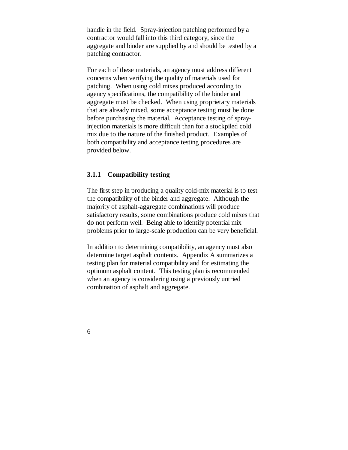handle in the field. Spray-injection patching performed by a contractor would fall into this third category, since the aggregate and binder are supplied by and should be tested by a patching contractor.

For each of these materials, an agency must address different concerns when verifying the quality of materials used for patching. When using cold mixes produced according to agency specifications, the compatibility of the binder and aggregate must be checked. When using proprietary materials that are already mixed, some acceptance testing must be done before purchasing the material. Acceptance testing of sprayinjection materials is more difficult than for a stockpiled cold mix due to the nature of the finished product. Examples of both compatibility and acceptance testing procedures are provided below.

#### **3.1.1 Compatibility testing**

The first step in producing a quality cold-mix material is to test the compatibility of the binder and aggregate. Although the majority of asphalt-aggregate combinations will produce satisfactory results, some combinations produce cold mixes that do not perform well. Being able to identify potential mix problems prior to large-scale production can be very beneficial.

In addition to determining compatibility, an agency must also determine target asphalt contents. Appendix A summarizes a testing plan for material compatibility and for estimating the optimum asphalt content. This testing plan is recommended when an agency is considering using a previously untried combination of asphalt and aggregate.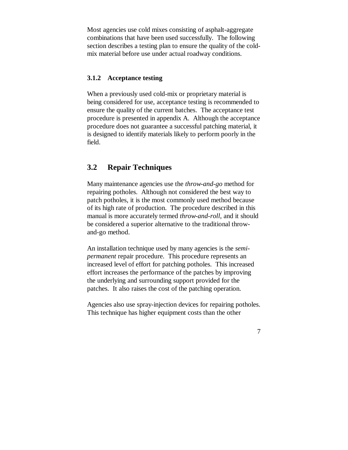Most agencies use cold mixes consisting of asphalt-aggregate combinations that have been used successfully. The following section describes a testing plan to ensure the quality of the coldmix material before use under actual roadway conditions.

#### **3.1.2 Acceptance testing**

When a previously used cold-mix or proprietary material is being considered for use, acceptance testing is recommended to ensure the quality of the current batches. The acceptance test procedure is presented in appendix A. Although the acceptance procedure does not guarantee a successful patching material, it is designed to identify materials likely to perform poorly in the field.

### **3.2 Repair Techniques**

Many maintenance agencies use the *throw-and-go* method for repairing potholes. Although not considered the best way to patch potholes, it is the most commonly used method because of its high rate of production. The procedure described in this manual is more accurately termed *throw-and-roll*, and it should be considered a superior alternative to the traditional throwand-go method.

An installation technique used by many agencies is the *semipermanent* repair procedure. This procedure represents an increased level of effort for patching potholes. This increased effort increases the performance of the patches by improving the underlying and surrounding support provided for the patches. It also raises the cost of the patching operation.

Agencies also use spray-injection devices for repairing potholes. This technique has higher equipment costs than the other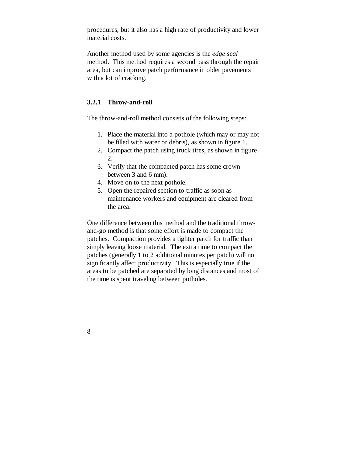procedures, but it also has a high rate of productivity and lower material costs.

Another method used by some agencies is the *edge seal* method. This method requires a second pass through the repair area, but can improve patch performance in older pavements with a lot of cracking.

#### **3.2.1 Throw-and-roll**

The throw-and-roll method consists of the following steps:

- 1. Place the material into a pothole (which may or may not be filled with water or debris), as shown in figure 1.
- 2. Compact the patch using truck tires, as shown in figure 2.
- 3. Verify that the compacted patch has some crown between 3 and 6 mm).
- 4. Move on to the next pothole.
- 5. Open the repaired section to traffic as soon as maintenance workers and equipment are cleared from the area.

One difference between this method and the traditional throwand-go method is that some effort is made to compact the patches. Compaction provides a tighter patch for traffic than simply leaving loose material. The extra time to compact the patches (generally 1 to 2 additional minutes per patch) will not significantly affect productivity. This is especially true if the areas to be patched are separated by long distances and most of the time is spent traveling between potholes.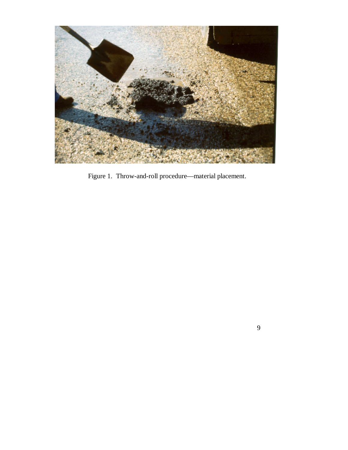

Figure 1. Throw-and-roll procedure— material placement.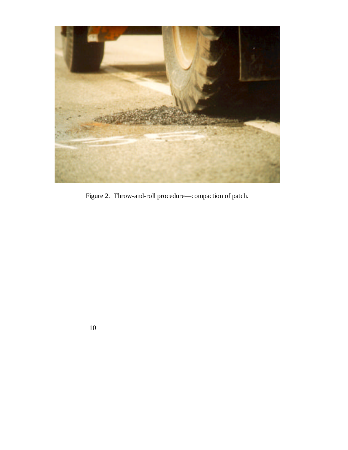

Figure 2. Throw-and-roll procedure— compaction of patch.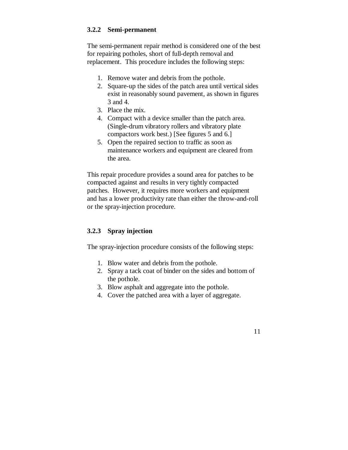#### **3.2.2 Semi-permanent**

The semi-permanent repair method is considered one of the best for repairing potholes, short of full-depth removal and replacement. This procedure includes the following steps:

- 1. Remove water and debris from the pothole.
- 2. Square-up the sides of the patch area until vertical sides exist in reasonably sound pavement, as shown in figures 3 and 4.
- 3. Place the mix.
- 4. Compact with a device smaller than the patch area. (Single-drum vibratory rollers and vibratory plate compactors work best.) [See figures 5 and 6.]
- 5. Open the repaired section to traffic as soon as maintenance workers and equipment are cleared from the area.

This repair procedure provides a sound area for patches to be compacted against and results in very tightly compacted patches. However, it requires more workers and equipment and has a lower productivity rate than either the throw-and-roll or the spray-injection procedure.

#### **3.2.3 Spray injection**

The spray-injection procedure consists of the following steps:

- 1. Blow water and debris from the pothole.
- 2. Spray a tack coat of binder on the sides and bottom of the pothole.
- 3. Blow asphalt and aggregate into the pothole.
- 4. Cover the patched area with a layer of aggregate.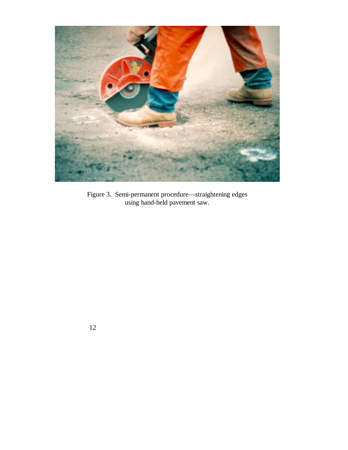

Figure 3. Semi-permanent procedure— straightening edges using hand-held pavement saw.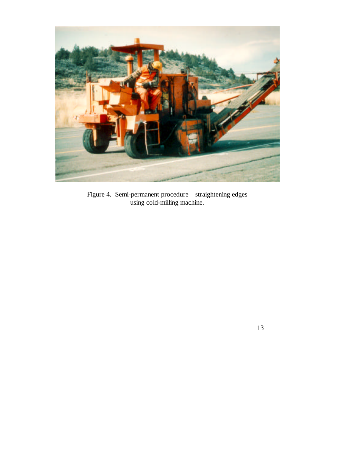

Figure 4. Semi-permanent procedure— straightening edges using cold-milling machine.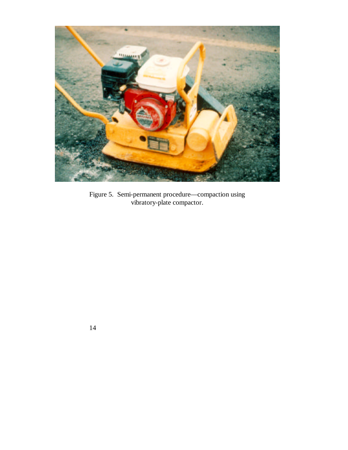

Figure 5. Semi-permanent procedure— compaction using vibratory-plate compactor.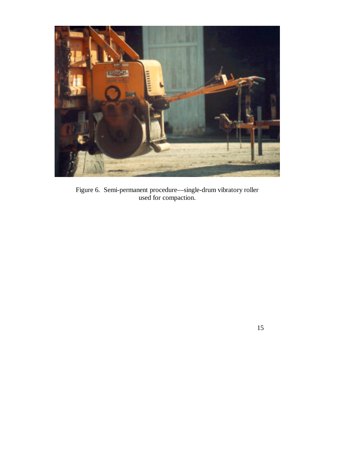

Figure 6. Semi-permanent procedure— single-drum vibratory roller used for compaction.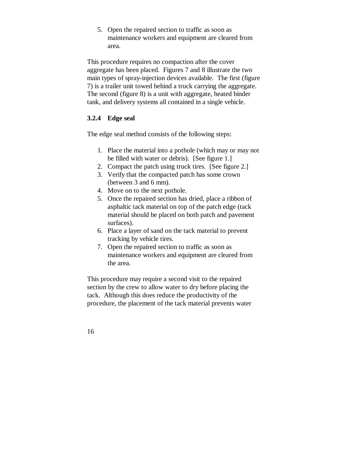5. Open the repaired section to traffic as soon as maintenance workers and equipment are cleared from area.

This procedure requires no compaction after the cover aggregate has been placed. Figures 7 and 8 illustrate the two main types of spray-injection devices available. The first (figure 7) is a trailer unit towed behind a truck carrying the aggregate. The second (figure 8) is a unit with aggregate, heated binder tank, and delivery systems all contained in a single vehicle.

#### **3.2.4 Edge seal**

The edge seal method consists of the following steps:

- 1. Place the material into a pothole (which may or may not be filled with water or debris). [See figure 1.]
- 2. Compact the patch using truck tires. [See figure 2.]
- 3. Verify that the compacted patch has some crown (between 3 and 6 mm).
- 4. Move on to the next pothole.
- 5. Once the repaired section has dried, place a ribbon of asphaltic tack material on top of the patch edge (tack material should be placed on both patch and pavement surfaces).
- 6. Place a layer of sand on the tack material to prevent tracking by vehicle tires.
- 7. Open the repaired section to traffic as soon as maintenance workers and equipment are cleared from the area.

This procedure may require a second visit to the repaired section by the crew to allow water to dry before placing the tack. Although this does reduce the productivity of the procedure, the placement of the tack material prevents water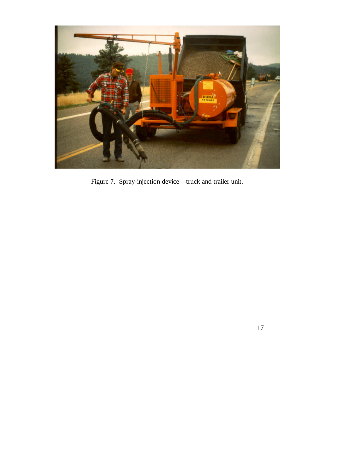

Figure 7. Spray-injection device— truck and trailer unit.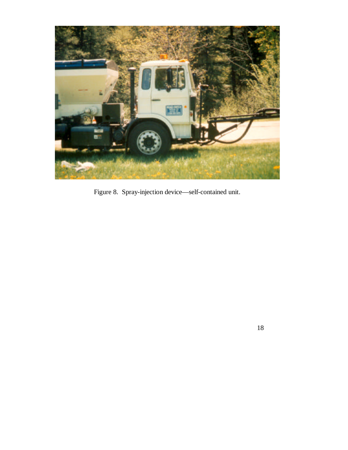

Figure 8. Spray-injection device— self-contained unit.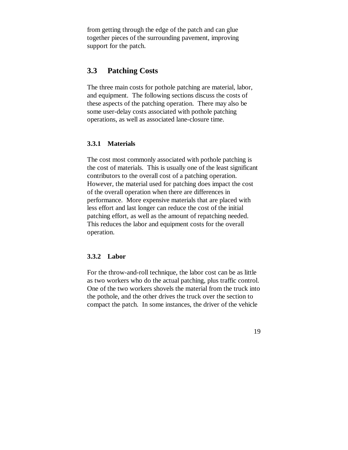from getting through the edge of the patch and can glue together pieces of the surrounding pavement, improving support for the patch.

### **3.3 Patching Costs**

The three main costs for pothole patching are material, labor, and equipment. The following sections discuss the costs of these aspects of the patching operation. There may also be some user-delay costs associated with pothole patching operations, as well as associated lane-closure time.

### **3.3.1 Materials**

The cost most commonly associated with pothole patching is the cost of materials. This is usually one of the least significant contributors to the overall cost of a patching operation. However, the material used for patching does impact the cost of the overall operation when there are differences in performance. More expensive materials that are placed with less effort and last longer can reduce the cost of the initial patching effort, as well as the amount of repatching needed. This reduces the labor and equipment costs for the overall operation.

#### **3.3.2 Labor**

For the throw-and-roll technique, the labor cost can be as little as two workers who do the actual patching, plus traffic control. One of the two workers shovels the material from the truck into the pothole, and the other drives the truck over the section to compact the patch. In some instances, the driver of the vehicle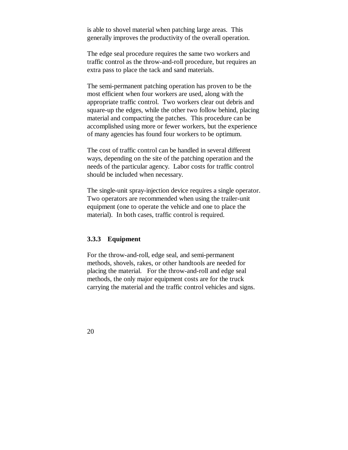is able to shovel material when patching large areas. This generally improves the productivity of the overall operation.

The edge seal procedure requires the same two workers and traffic control as the throw-and-roll procedure, but requires an extra pass to place the tack and sand materials.

The semi-permanent patching operation has proven to be the most efficient when four workers are used, along with the appropriate traffic control. Two workers clear out debris and square-up the edges, while the other two follow behind, placing material and compacting the patches. This procedure can be accomplished using more or fewer workers, but the experience of many agencies has found four workers to be optimum.

The cost of traffic control can be handled in several different ways, depending on the site of the patching operation and the needs of the particular agency. Labor costs for traffic control should be included when necessary.

The single-unit spray-injection device requires a single operator. Two operators are recommended when using the trailer-unit equipment (one to operate the vehicle and one to place the material). In both cases, traffic control is required.

#### **3.3.3 Equipment**

For the throw-and-roll, edge seal, and semi-permanent methods, shovels, rakes, or other handtools are needed for placing the material. For the throw-and-roll and edge seal methods, the only major equipment costs are for the truck carrying the material and the traffic control vehicles and signs.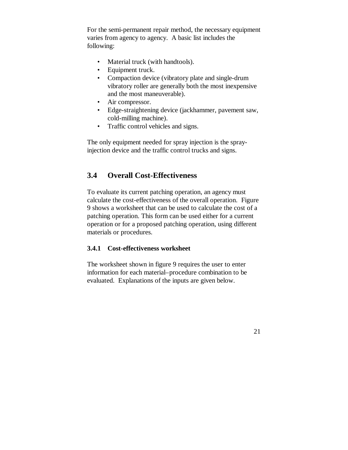For the semi-permanent repair method, the necessary equipment varies from agency to agency. A basic list includes the following:

- Material truck (with handtools).
- Equipment truck.
- Compaction device (vibratory plate and single-drum vibratory roller are generally both the most inexpensive and the most maneuverable).
- Air compressor.
- Edge-straightening device (jackhammer, pavement saw, cold-milling machine).
- Traffic control vehicles and signs.

The only equipment needed for spray injection is the sprayinjection device and the traffic control trucks and signs.

### **3.4 Overall Cost-Effectiveness**

To evaluate its current patching operation, an agency must calculate the cost-effectiveness of the overall operation. Figure 9 shows a worksheet that can be used to calculate the cost of a patching operation. This form can be used either for a current operation or for a proposed patching operation, using different materials or procedures.

### **3.4.1 Cost-effectiveness worksheet**

The worksheet shown in figure 9 requires the user to enter information for each material–procedure combination to be evaluated. Explanations of the inputs are given below.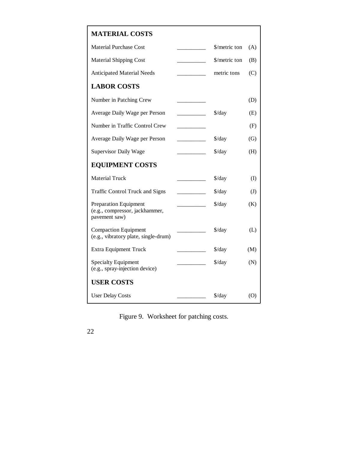### **MATERIAL COSTS**

| <b>Material Purchase Cost</b>                                                   | \$/metric ton               | (A)           |
|---------------------------------------------------------------------------------|-----------------------------|---------------|
| <b>Material Shipping Cost</b>                                                   | \$/metric ton               | (B)           |
| <b>Anticipated Material Needs</b>                                               | metric tons                 | (C)           |
| <b>LABOR COSTS</b>                                                              |                             |               |
| Number in Patching Crew                                                         |                             | (D)           |
| Average Daily Wage per Person                                                   | $\frac{\sqrt{3}}{4}$        | (E)           |
| Number in Traffic Control Crew                                                  |                             | (F)           |
| Average Daily Wage per Person                                                   | $\frac{\sqrt{2}}{2}$        | (G)           |
| <b>Supervisor Daily Wage</b>                                                    | \$/day                      | (H)           |
| <b>EQUIPMENT COSTS</b>                                                          |                             |               |
| <b>Material Truck</b>                                                           | \$/day                      | (I)           |
| <b>Traffic Control Truck and Signs</b>                                          | \$/day                      | $\mathcal{J}$ |
| <b>Preparation Equipment</b><br>(e.g., compressor, jackhammer,<br>pavement saw) | $\frac{\text{d}}{\text{d}}$ | (K)           |
| <b>Compaction Equipment</b><br>(e.g., vibratory plate, single-drum)             | $\frac{\text{d}}{\text{d}}$ | (L)           |
| <b>Extra Equipment Truck</b>                                                    | $\frac{\text{d}}{\text{d}}$ | (M)           |
| <b>Specialty Equipment</b><br>(e.g., spray-injection device)                    | $\frac{\text{d}}{\text{d}}$ | (N)           |
| <b>USER COSTS</b>                                                               |                             |               |
| <b>User Delay Costs</b>                                                         | $\frac{\text{d}}{\text{d}}$ | (O)           |

Figure 9. Worksheet for patching costs.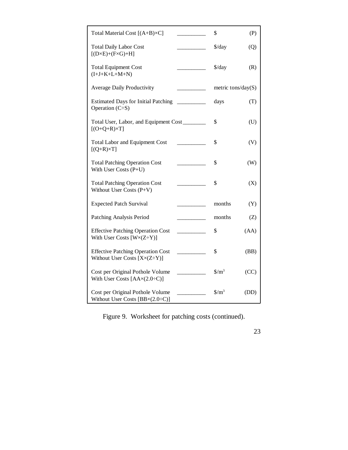| Total Material Cost [(A+B)×C]                                                          | \$                            | (P)  |
|----------------------------------------------------------------------------------------|-------------------------------|------|
| <b>Total Daily Labor Cost</b><br>$[(D \times E) + (F \times G) + H]$                   | \$/day                        | (Q)  |
| <b>Total Equipment Cost</b><br>$(I+J+K+L+M+N)$                                         | $\frac{\text{d}}{\text{d}}$   | (R)  |
| <b>Average Daily Productivity</b>                                                      | metric tons/day( $S$ )        |      |
| <b>Estimated Days for Initial Patching</b><br>Operation $(C\dot{=}S)$                  | days                          | (T)  |
| Total User, Labor, and Equipment Cost<br>$[(O+Q+R)\times T]$                           | \$                            | (U)  |
| <b>Total Labor and Equipment Cost</b><br>$[(Q+R)\times T]$                             | \$                            | (V)  |
| <b>Total Patching Operation Cost</b><br>With User Costs (P+U)                          | \$                            | (W)  |
| <b>Total Patching Operation Cost</b><br>Without User Costs (P+V)                       | \$                            | (X)  |
| <b>Expected Patch Survival</b>                                                         | months                        | (Y)  |
| Patching Analysis Period                                                               | months                        | (Z)  |
| <b>Effective Patching Operation Cost</b><br>With User Costs $[W \times (Z \div Y)]$    | \$                            | (AA) |
| <b>Effective Patching Operation Cost</b><br>Without User Costs $[X \times (Z \div Y)]$ | \$                            | (BB) |
| Cost per Original Pothole Volume<br>With User Costs $[AAx(2.0+C)]$                     | $\frac{\text{S}}{\text{m}^3}$ | (CC) |
| Cost per Original Pothole Volume<br>Without User Costs $[BB \times (2.0 \div C)]$      | $\frac{\text{S}}{\text{m}^3}$ | (DD) |

Figure 9. Worksheet for patching costs (continued).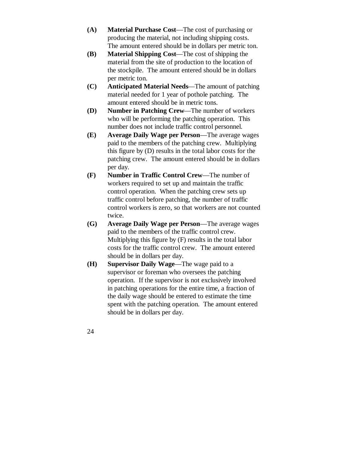- **(A) Material Purchase Cost** The cost of purchasing or producing the material, not including shipping costs. The amount entered should be in dollars per metric ton.
- **(B) Material Shipping Cost** The cost of shipping the material from the site of production to the location of the stockpile. The amount entered should be in dollars per metric ton.
- **(C) Anticipated Material Needs** The amount of patching material needed for 1 year of pothole patching. The amount entered should be in metric tons.
- **(D) Number in Patching Crew** The number of workers who will be performing the patching operation. This number does not include traffic control personnel.
- **(E) Average Daily Wage per Person** The average wages paid to the members of the patching crew. Multiplying this figure by (D) results in the total labor costs for the patching crew. The amount entered should be in dollars per day.
- **(F) Number in Traffic Control Crew** The number of workers required to set up and maintain the traffic control operation. When the patching crew sets up traffic control before patching, the number of traffic control workers is zero, so that workers are not counted twice.
- **(G) Average Daily Wage per Person** The average wages paid to the members of the traffic control crew. Multiplying this figure by (F) results in the total labor costs for the traffic control crew. The amount entered should be in dollars per day.
- **(H) Supervisor Daily Wage** The wage paid to a supervisor or foreman who oversees the patching operation. If the supervisor is not exclusively involved in patching operations for the entire time, a fraction of the daily wage should be entered to estimate the time spent with the patching operation. The amount entered should be in dollars per day.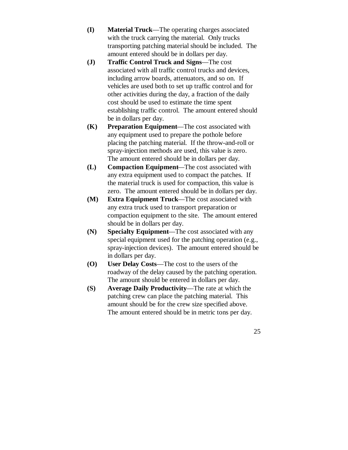- **(I) Material Truck** The operating charges associated with the truck carrying the material. Only trucks transporting patching material should be included. The amount entered should be in dollars per day.
- **(J) Traffic Control Truck and Signs** The cost associated with all traffic control trucks and devices, including arrow boards, attenuators, and so on. If vehicles are used both to set up traffic control and for other activities during the day, a fraction of the daily cost should be used to estimate the time spent establishing traffic control. The amount entered should be in dollars per day.
- **(K) Preparation Equipment** The cost associated with any equipment used to prepare the pothole before placing the patching material. If the throw-and-roll or spray-injection methods are used, this value is zero. The amount entered should be in dollars per day.
- **(L) Compaction Equipment** The cost associated with any extra equipment used to compact the patches. If the material truck is used for compaction, this value is zero. The amount entered should be in dollars per day.
- **(M) Extra Equipment Truck** The cost associated with any extra truck used to transport preparation or compaction equipment to the site. The amount entered should be in dollars per day.
- **(N) Specialty Equipment** The cost associated with any special equipment used for the patching operation (e.g., spray-injection devices). The amount entered should be in dollars per day.
- **(O) User Delay Costs** The cost to the users of the roadway of the delay caused by the patching operation. The amount should be entered in dollars per day.
- **(S) Average Daily Productivity** The rate at which the patching crew can place the patching material. This amount should be for the crew size specified above. The amount entered should be in metric tons per day.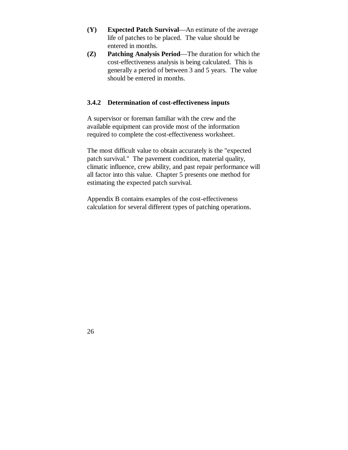- **(Y) Expected Patch Survival** An estimate of the average life of patches to be placed. The value should be entered in months.
- **(Z) Patching Analysis Period** The duration for which the cost-effectiveness analysis is being calculated. This is generally a period of between 3 and 5 years. The value should be entered in months.

### **3.4.2 Determination of cost-effectiveness inputs**

A supervisor or foreman familiar with the crew and the available equipment can provide most of the information required to complete the cost-effectiveness worksheet.

The most difficult value to obtain accurately is the "expected patch survival." The pavement condition, material quality, climatic influence, crew ability, and past repair performance will all factor into this value. Chapter 5 presents one method for estimating the expected patch survival.

Appendix B contains examples of the cost-effectiveness calculation for several different types of patching operations.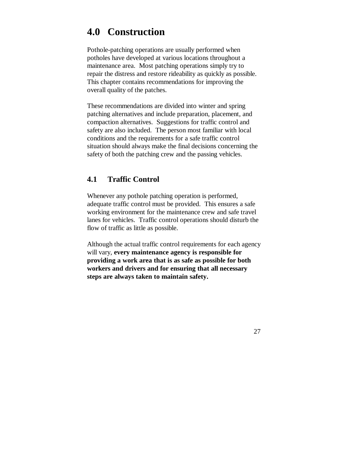# **4.0 Construction**

Pothole-patching operations are usually performed when potholes have developed at various locations throughout a maintenance area. Most patching operations simply try to repair the distress and restore rideability as quickly as possible. This chapter contains recommendations for improving the overall quality of the patches.

These recommendations are divided into winter and spring patching alternatives and include preparation, placement, and compaction alternatives. Suggestions for traffic control and safety are also included. The person most familiar with local conditions and the requirements for a safe traffic control situation should always make the final decisions concerning the safety of both the patching crew and the passing vehicles.

# **4.1 Traffic Control**

Whenever any pothole patching operation is performed, adequate traffic control must be provided. This ensures a safe working environment for the maintenance crew and safe travel lanes for vehicles. Traffic control operations should disturb the flow of traffic as little as possible.

Although the actual traffic control requirements for each agency will vary, **every maintenance agency is responsible for providing a work area that is as safe as possible for both workers and drivers and for ensuring that all necessary steps are always taken to maintain safety.**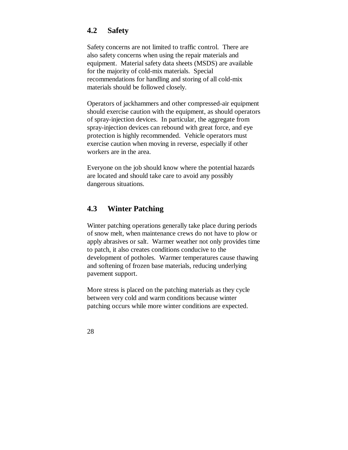# **4.2 Safety**

Safety concerns are not limited to traffic control. There are also safety concerns when using the repair materials and equipment. Material safety data sheets (MSDS) are available for the majority of cold-mix materials. Special recommendations for handling and storing of all cold-mix materials should be followed closely.

Operators of jackhammers and other compressed-air equipment should exercise caution with the equipment, as should operators of spray-injection devices. In particular, the aggregate from spray-injection devices can rebound with great force, and eye protection is highly recommended. Vehicle operators must exercise caution when moving in reverse, especially if other workers are in the area.

Everyone on the job should know where the potential hazards are located and should take care to avoid any possibly dangerous situations.

# **4.3 Winter Patching**

Winter patching operations generally take place during periods of snow melt, when maintenance crews do not have to plow or apply abrasives or salt. Warmer weather not only provides time to patch, it also creates conditions conducive to the development of potholes. Warmer temperatures cause thawing and softening of frozen base materials, reducing underlying pavement support.

More stress is placed on the patching materials as they cycle between very cold and warm conditions because winter patching occurs while more winter conditions are expected.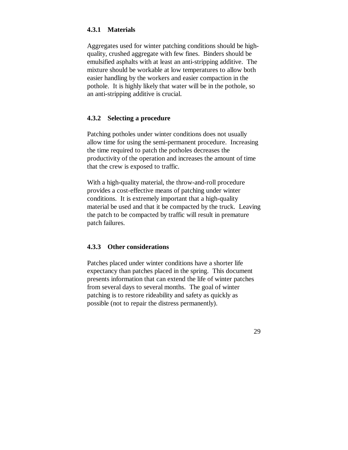## **4.3.1 Materials**

Aggregates used for winter patching conditions should be highquality, crushed aggregate with few fines. Binders should be emulsified asphalts with at least an anti-stripping additive. The mixture should be workable at low temperatures to allow both easier handling by the workers and easier compaction in the pothole. It is highly likely that water will be in the pothole, so an anti-stripping additive is crucial.

### **4.3.2 Selecting a procedure**

Patching potholes under winter conditions does not usually allow time for using the semi-permanent procedure. Increasing the time required to patch the potholes decreases the productivity of the operation and increases the amount of time that the crew is exposed to traffic.

With a high-quality material, the throw-and-roll procedure provides a cost-effective means of patching under winter conditions. It is extremely important that a high-quality material be used and that it be compacted by the truck. Leaving the patch to be compacted by traffic will result in premature patch failures.

### **4.3.3 Other considerations**

Patches placed under winter conditions have a shorter life expectancy than patches placed in the spring. This document presents information that can extend the life of winter patches from several days to several months. The goal of winter patching is to restore rideability and safety as quickly as possible (not to repair the distress permanently).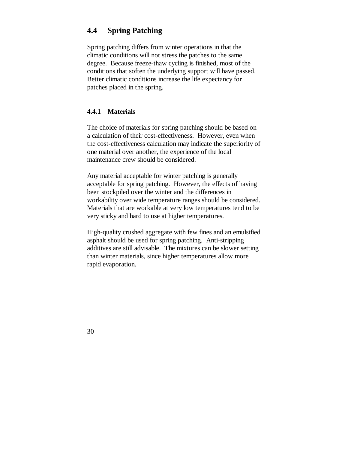# **4.4 Spring Patching**

Spring patching differs from winter operations in that the climatic conditions will not stress the patches to the same degree. Because freeze-thaw cycling is finished, most of the conditions that soften the underlying support will have passed. Better climatic conditions increase the life expectancy for patches placed in the spring.

### **4.4.1 Materials**

The choice of materials for spring patching should be based on a calculation of their cost-effectiveness. However, even when the cost-effectiveness calculation may indicate the superiority of one material over another, the experience of the local maintenance crew should be considered.

Any material acceptable for winter patching is generally acceptable for spring patching. However, the effects of having been stockpiled over the winter and the differences in workability over wide temperature ranges should be considered. Materials that are workable at very low temperatures tend to be very sticky and hard to use at higher temperatures.

High-quality crushed aggregate with few fines and an emulsified asphalt should be used for spring patching. Anti-stripping additives are still advisable. The mixtures can be slower setting than winter materials, since higher temperatures allow more rapid evaporation.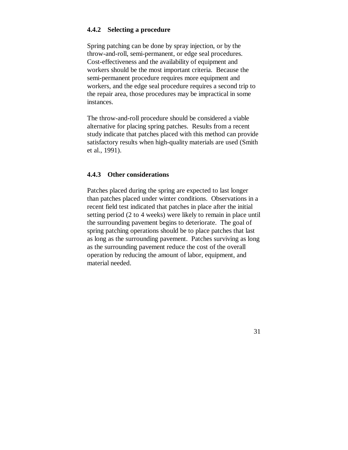## **4.4.2 Selecting a procedure**

Spring patching can be done by spray injection, or by the throw-and-roll, semi-permanent, or edge seal procedures. Cost-effectiveness and the availability of equipment and workers should be the most important criteria. Because the semi-permanent procedure requires more equipment and workers, and the edge seal procedure requires a second trip to the repair area, those procedures may be impractical in some instances.

The throw-and-roll procedure should be considered a viable alternative for placing spring patches. Results from a recent study indicate that patches placed with this method can provide satisfactory results when high-quality materials are used (Smith et al., 1991).

### **4.4.3 Other considerations**

Patches placed during the spring are expected to last longer than patches placed under winter conditions. Observations in a recent field test indicated that patches in place after the initial setting period (2 to 4 weeks) were likely to remain in place until the surrounding pavement begins to deteriorate. The goal of spring patching operations should be to place patches that last as long as the surrounding pavement. Patches surviving as long as the surrounding pavement reduce the cost of the overall operation by reducing the amount of labor, equipment, and material needed.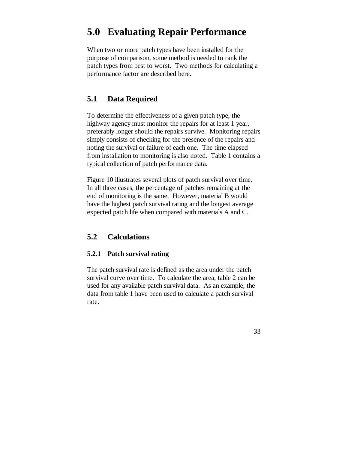# **5.0 Evaluating Repair Performance**

When two or more patch types have been installed for the purpose of comparison, some method is needed to rank the patch types from best to worst. Two methods for calculating a performance factor are described here.

# **5.1 Data Required**

To determine the effectiveness of a given patch type, the highway agency must monitor the repairs for at least 1 year, preferably longer should the repairs survive. Monitoring repairs simply consists of checking for the presence of the repairs and noting the survival or failure of each one. The time elapsed from installation to monitoring is also noted. Table 1 contains a typical collection of patch performance data.

Figure 10 illustrates several plots of patch survival over time. In all three cases, the percentage of patches remaining at the end of monitoring is the same. However, material B would have the highest patch survival rating and the longest average expected patch life when compared with materials A and C.

# **5.2 Calculations**

### **5.2.1 Patch survival rating**

The patch survival rate is defined as the area under the patch survival curve over time. To calculate the area, table 2 can be used for any available patch survival data. As an example, the data from table 1 have been used to calculate a patch survival rate.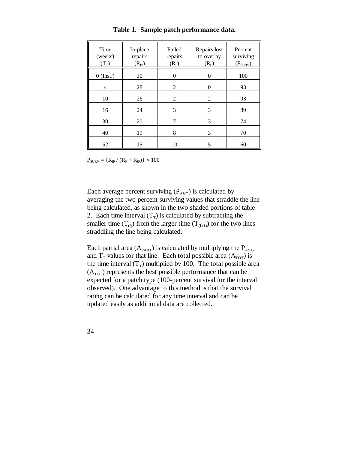| Time<br>(weeks)<br>$(T_T)$ | In-place<br>repairs<br>$(R_{IP})$ | Failed<br>repairs<br>$(R_F)$ | Repairs lost<br>to overlay<br>(R <sub>L</sub> ) | Percent<br>surviving<br>$(P_{SURV})$ |
|----------------------------|-----------------------------------|------------------------------|-------------------------------------------------|--------------------------------------|
| $0$ (Inst.)                | 30                                | 0                            | $\overline{0}$                                  | 100                                  |
| 4                          | 28                                | 2                            | $\overline{0}$                                  | 93                                   |
| 10                         | 26                                | 2                            | $\overline{2}$                                  | 93                                   |
| 16                         | 24                                | 3                            | 3                                               | 89                                   |
| 30                         | 20                                |                              | 3                                               | 74                                   |
| 40                         | 19                                | 8                            | 3                                               | 70                                   |
| 52                         | 15                                | 10                           | 5                                               | 60                                   |

**Table 1. Sample patch performance data.**

 $P_{\text{SURV}} = \{R_{IP} / (R_{F} + R_{IP})\} \times 100$ 

Each average percent surviving  $(P_{AVG})$  is calculated by averaging the two percent surviving values that straddle the line being calculated, as shown in the two shaded portions of table 2. Each time interval  $(T_T)$  is calculated by subtracting the smaller time  $(T_0)$  from the larger time  $(T_{(I+1)})$  for the two lines straddling the line being calculated.

Each partial area  $(A_{\text{PART}})$  is calculated by multiplying the  $P_{\text{AVG}}$ and  $T_T$  values for that line. Each total possible area  $(A_{TOT})$  is the time interval  $(T_T)$  multiplied by 100. The total possible area  $(A<sub>TOT</sub>)$  represents the best possible performance that can be expected for a patch type (100-percent survival for the interval observed). One advantage to this method is that the survival rating can be calculated for any time interval and can be updated easily as additional data are collected.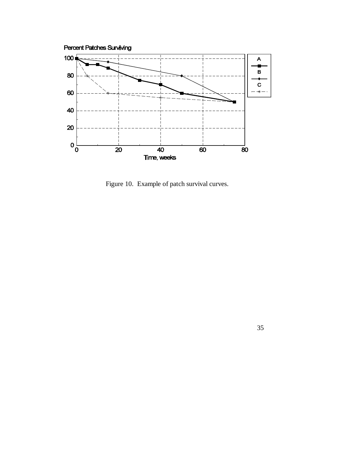

Figure 10. Example of patch survival curves.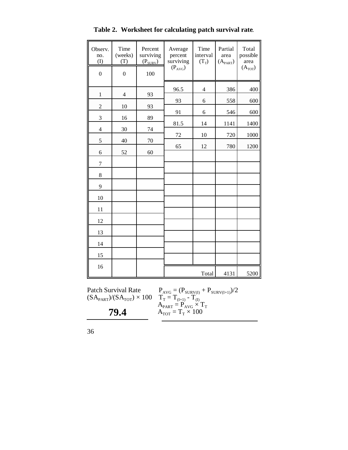| Observ.<br>no.<br>$\rm (I)$ | Time<br>(weeks)<br>(T) | Percent<br>surviving<br>$(P_{SURV})$ | Average<br>percent<br>surviving<br>$(P_{AVG})$ | Time<br>interval<br>$(T_T)$ | Partial<br>area<br>$(A_{PART})$ | Total<br>possible<br>area<br>(A <sub>TOT</sub> ) |
|-----------------------------|------------------------|--------------------------------------|------------------------------------------------|-----------------------------|---------------------------------|--------------------------------------------------|
| $\boldsymbol{0}$            | $\boldsymbol{0}$       | 100                                  |                                                |                             |                                 |                                                  |
|                             |                        |                                      | 96.5                                           | $\overline{4}$              | 386                             | 400                                              |
| $\,1$                       | $\overline{4}$         | 93                                   | 93                                             | 6                           | 558                             | 600                                              |
| $\sqrt{2}$                  | 10                     | 93                                   | 91                                             | 6                           | 546                             | 600                                              |
| $\mathfrak{Z}$              | 16                     | 89                                   | 81.5                                           | 14                          | 1141                            | 1400                                             |
| $\overline{\mathbf{4}}$     | 30                     | 74                                   | $72\,$                                         | 10                          | 720                             | 1000                                             |
| 5                           | 40                     | 70                                   | 65                                             | 12                          | 780                             | 1200                                             |
| 6                           | 52                     | 60                                   |                                                |                             |                                 |                                                  |
| $\overline{7}$              |                        |                                      |                                                |                             |                                 |                                                  |
| $8\,$                       |                        |                                      |                                                |                             |                                 |                                                  |
| 9                           |                        |                                      |                                                |                             |                                 |                                                  |
| 10                          |                        |                                      |                                                |                             |                                 |                                                  |
| 11                          |                        |                                      |                                                |                             |                                 |                                                  |
| 12                          |                        |                                      |                                                |                             |                                 |                                                  |
| 13                          |                        |                                      |                                                |                             |                                 |                                                  |
| 14                          |                        |                                      |                                                |                             |                                 |                                                  |

**Table 2. Worksheet for calculating patch survival rate**.

T

 $(SA_{\text{PART}})/(SA_{\text{TOT}}) \times 100$ 

**79.4**

Patch Survival Rate  $P_{AVG} = (P_{SURV(I)} + P_{SURV(I+1)})/2$  $=\mathrm{T}_{(I+1)}$  -  $\mathrm{T}_{(I)}$  $A_{\text{PART}} = P_{\text{AVG}} \times T_{\text{T}}$  $A_{TOT} = T_T \times 100$ 

Total 4131 5200

15

 $\mathsf F$ 

T

16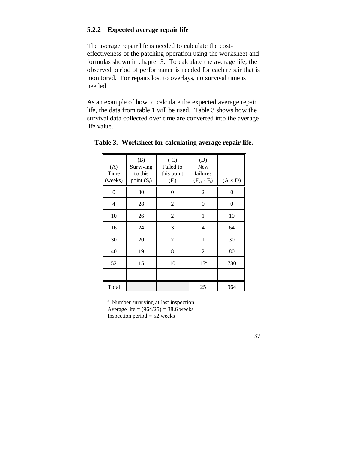## **5.2.2 Expected average repair life**

The average repair life is needed to calculate the costeffectiveness of the patching operation using the worksheet and formulas shown in chapter 3. To calculate the average life, the observed period of performance is needed for each repair that is monitored. For repairs lost to overlays, no survival time is needed.

As an example of how to calculate the expected average repair life, the data from table 1 will be used. Table 3 shows how the survival data collected over time are converted into the average life value.

| (A)<br>Time<br>(weeks) | (B)<br>Surviving<br>to this<br>point $(S_i)$ | (C)<br>Failed to<br>this point<br>$(F_i)$ | (D)<br><b>New</b><br>failures<br>$(F_{i-1} - F_i)$ | $(A \times D)$ |
|------------------------|----------------------------------------------|-------------------------------------------|----------------------------------------------------|----------------|
| 0                      | 30                                           | 0                                         | $\overline{2}$                                     | 0              |
| 4                      | 28                                           | $\overline{2}$                            | $\theta$                                           | 0              |
| 10                     | 26                                           | $\overline{2}$                            | 1                                                  | 10             |
| 16                     | 24                                           | 3                                         | 4                                                  | 64             |
| 30                     | 20                                           | 7                                         | 1                                                  | 30             |
| 40                     | 19                                           | 8                                         | $\overline{2}$                                     | 80             |
| 52                     | 15                                           | 10                                        | 15 <sup>a</sup>                                    | 780            |
|                        |                                              |                                           |                                                    |                |
| Total                  |                                              |                                           | 25                                                 | 964            |

|  | Table 3. Worksheet for calculating average repair life. |  |  |  |  |  |
|--|---------------------------------------------------------|--|--|--|--|--|
|--|---------------------------------------------------------|--|--|--|--|--|

<sup>a</sup> Number surviving at last inspection. Average life =  $(964/25) = 38.6$  weeks Inspection period  $= 52$  weeks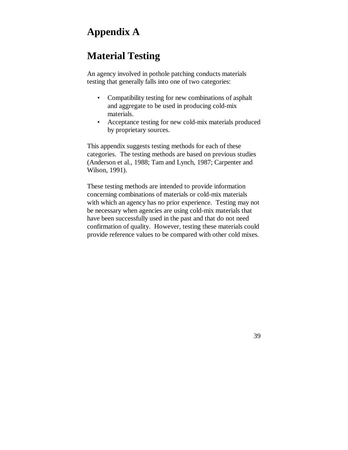# **Appendix A**

# **Material Testing**

An agency involved in pothole patching conducts materials testing that generally falls into one of two categories:

- Compatibility testing for new combinations of asphalt and aggregate to be used in producing cold-mix materials.
- Acceptance testing for new cold-mix materials produced by proprietary sources.

This appendix suggests testing methods for each of these categories. The testing methods are based on previous studies (Anderson et al., 1988; Tam and Lynch, 1987; Carpenter and Wilson, 1991).

These testing methods are intended to provide information concerning combinations of materials or cold-mix materials with which an agency has no prior experience. Testing may not be necessary when agencies are using cold-mix materials that have been successfully used in the past and that do not need confirmation of quality. However, testing these materials could provide reference values to be compared with other cold mixes.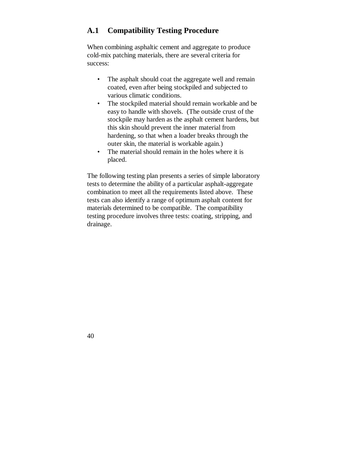# **A.1 Compatibility Testing Procedure**

When combining asphaltic cement and aggregate to produce cold-mix patching materials, there are several criteria for success:

- The asphalt should coat the aggregate well and remain coated, even after being stockpiled and subjected to various climatic conditions.
- The stockpiled material should remain workable and be easy to handle with shovels. (The outside crust of the stockpile may harden as the asphalt cement hardens, but this skin should prevent the inner material from hardening, so that when a loader breaks through the outer skin, the material is workable again.)
- The material should remain in the holes where it is placed.

The following testing plan presents a series of simple laboratory tests to determine the ability of a particular asphalt-aggregate combination to meet all the requirements listed above. These tests can also identify a range of optimum asphalt content for materials determined to be compatible. The compatibility testing procedure involves three tests: coating, stripping, and drainage.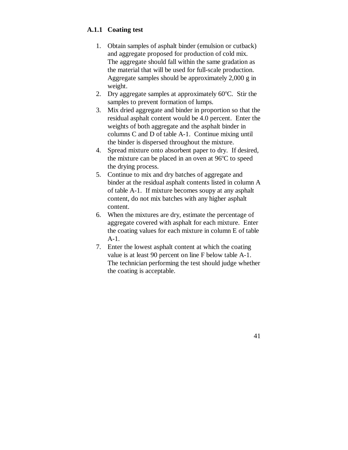## **A.1.1 Coating test**

- 1. Obtain samples of asphalt binder (emulsion or cutback) and aggregate proposed for production of cold mix. The aggregate should fall within the same gradation as the material that will be used for full-scale production. Aggregate samples should be approximately 2,000 g in weight.
- 2. Dry aggregate samples at approximately  $60^{\circ}$ C. Stir the samples to prevent formation of lumps.
- 3. Mix dried aggregate and binder in proportion so that the residual asphalt content would be 4.0 percent. Enter the weights of both aggregate and the asphalt binder in columns C and D of table A-1. Continue mixing until the binder is dispersed throughout the mixture.
- 4. Spread mixture onto absorbent paper to dry. If desired, the mixture can be placed in an oven at  $96^{\circ}$ C to speed the drying process.
- 5. Continue to mix and dry batches of aggregate and binder at the residual asphalt contents listed in column A of table A-1. If mixture becomes soupy at any asphalt content, do not mix batches with any higher asphalt content.
- 6. When the mixtures are dry, estimate the percentage of aggregate covered with asphalt for each mixture. Enter the coating values for each mixture in column E of table A-1.
- 7. Enter the lowest asphalt content at which the coating value is at least 90 percent on line F below table A-1. The technician performing the test should judge whether the coating is acceptable.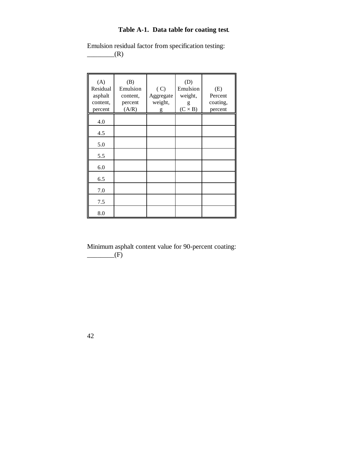### **Table A-1. Data table for coating test**.

Emulsion residual factor from specification testing:  $\qquad \qquad$  (R)

| (A)<br>Residual<br>asphalt<br>content,<br>percent | (B)<br>Emulsion<br>content,<br>percent<br>(A/R) | (C)<br>Aggregate<br>weight,<br>g | (D)<br>Emulsion<br>weight,<br>g<br>$(C \times B)$ | (E)<br>Percent<br>coating,<br>percent |
|---------------------------------------------------|-------------------------------------------------|----------------------------------|---------------------------------------------------|---------------------------------------|
| 4.0                                               |                                                 |                                  |                                                   |                                       |
| 4.5                                               |                                                 |                                  |                                                   |                                       |
| 5.0                                               |                                                 |                                  |                                                   |                                       |
| 5.5                                               |                                                 |                                  |                                                   |                                       |
| 6.0                                               |                                                 |                                  |                                                   |                                       |
| 6.5                                               |                                                 |                                  |                                                   |                                       |
| 7.0                                               |                                                 |                                  |                                                   |                                       |
| 7.5                                               |                                                 |                                  |                                                   |                                       |
| 8.0                                               |                                                 |                                  |                                                   |                                       |

Minimum asphalt content value for 90-percent coating:  $\qquad \qquad$   $\qquad \qquad$   $\qquad$   $\qquad$   $\qquad$   $\qquad$   $\qquad$   $\qquad$   $\qquad$   $\qquad$   $\qquad$   $\qquad$   $\qquad$   $\qquad$   $\qquad$   $\qquad$   $\qquad$   $\qquad$   $\qquad$   $\qquad$   $\qquad$   $\qquad$   $\qquad$   $\qquad$   $\qquad$   $\qquad$   $\qquad$   $\qquad$   $\qquad$   $\qquad$   $\qquad$   $\qquad$   $\qquad$   $\qquad$   $\qquad$   $\qquad$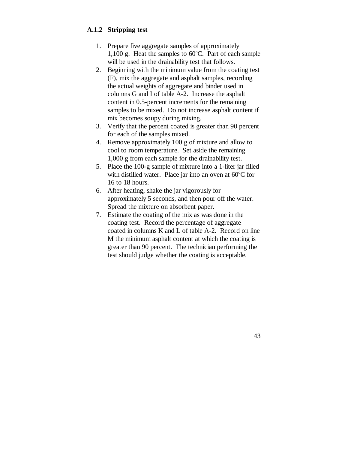## **A.1.2 Stripping test**

- 1. Prepare five aggregate samples of approximately 1,100 g. Heat the samples to  $60^{\circ}$ C. Part of each sample will be used in the drainability test that follows.
- 2. Beginning with the minimum value from the coating test (F), mix the aggregate and asphalt samples, recording the actual weights of aggregate and binder used in columns G and I of table A-2. Increase the asphalt content in 0.5-percent increments for the remaining samples to be mixed. Do not increase asphalt content if mix becomes soupy during mixing.
- 3. Verify that the percent coated is greater than 90 percent for each of the samples mixed.
- 4. Remove approximately 100 g of mixture and allow to cool to room temperature. Set aside the remaining 1,000 g from each sample for the drainability test.
- 5. Place the 100-g sample of mixture into a 1-liter jar filled with distilled water. Place jar into an oven at  $60^{\circ}$ C for 16 to 18 hours.
- 6. After heating, shake the jar vigorously for approximately 5 seconds, and then pour off the water. Spread the mixture on absorbent paper.
- 7. Estimate the coating of the mix as was done in the coating test. Record the percentage of aggregate coated in columns K and L of table A-2. Record on line M the minimum asphalt content at which the coating is greater than 90 percent. The technician performing the test should judge whether the coating is acceptable.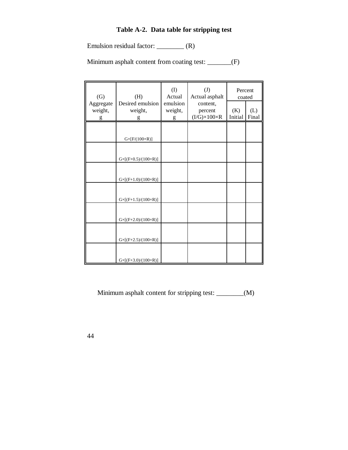#### **Table A-2. Data table for stripping test**

Emulsion residual factor: \_\_\_\_\_\_\_\_ (R)

Minimum asphalt content from coating test: \_\_\_\_\_\_(F)

| (G)                  | (H)                                 | (I)<br>Actual       | (J)<br>Actual asphalt    | Percent<br>coated |       |
|----------------------|-------------------------------------|---------------------|--------------------------|-------------------|-------|
| Aggregate<br>weight, | Desired emulsion<br>weight,         | emulsion<br>weight, | content,<br>percent      | (K)               | (L)   |
| g                    | g                                   | g                   | $(I/G)\times100\times R$ | Initial           | Final |
|                      |                                     |                     |                          |                   |       |
|                      |                                     |                     |                          |                   |       |
|                      | $G\times[F/(100\times R)]$          |                     |                          |                   |       |
|                      |                                     |                     |                          |                   |       |
|                      | $G\times [(F+0.5)/(100\times R)]$   |                     |                          |                   |       |
|                      |                                     |                     |                          |                   |       |
|                      | $G \times [(F+1.0)/(100 \times R)]$ |                     |                          |                   |       |
|                      |                                     |                     |                          |                   |       |
|                      |                                     |                     |                          |                   |       |
|                      | $G\times [(F+1.5)/(100\times R)]$   |                     |                          |                   |       |
|                      |                                     |                     |                          |                   |       |
|                      |                                     |                     |                          |                   |       |
|                      | $G\times [(F+2.0)/(100\times R)]$   |                     |                          |                   |       |
|                      |                                     |                     |                          |                   |       |
|                      | $G\times [(F+2.5)/(100\times R)]$   |                     |                          |                   |       |
|                      |                                     |                     |                          |                   |       |
|                      |                                     |                     |                          |                   |       |
|                      | $G\times [(F+3.0)/(100\times R)]$   |                     |                          |                   |       |

Minimum asphalt content for stripping test: \_\_\_\_\_\_\_\_(M)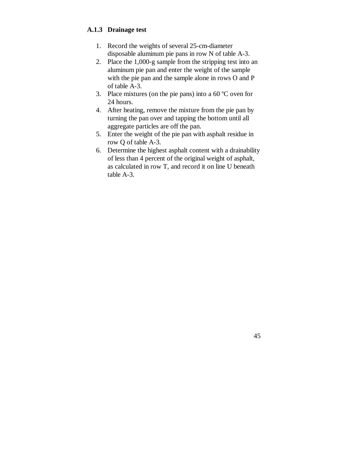### **A.1.3 Drainage test**

- 1. Record the weights of several 25-cm-diameter disposable aluminum pie pans in row N of table A-3.
- 2. Place the 1,000-g sample from the stripping test into an aluminum pie pan and enter the weight of the sample with the pie pan and the sample alone in rows O and P of table A-3.
- 3. Place mixtures (on the pie pans) into a  $60^{\circ}$ C oven for 24 hours.
- 4. After heating, remove the mixture from the pie pan by turning the pan over and tapping the bottom until all aggregate particles are off the pan.
- 5. Enter the weight of the pie pan with asphalt residue in row Q of table A-3.
- 6. Determine the highest asphalt content with a drainability of less than 4 percent of the original weight of asphalt, as calculated in row T, and record it on line U beneath table A-3.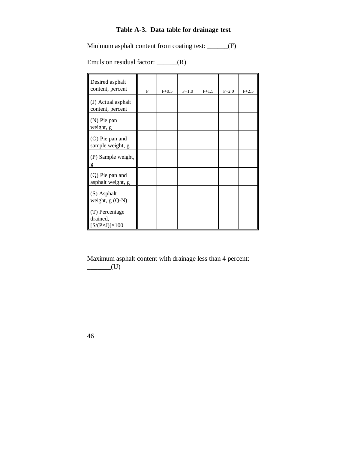## **Table A-3. Data table for drainage test**.

Minimum asphalt content from coating test: \_\_\_\_\_\_(F)

Emulsion residual factor: \_\_\_\_\_\_(R)

| Desired asphalt<br>content, percent                       | F | $F + 0.5$ | $F+1.0$ | $F+1.5$ | $F + 2.0$ | $F + 2.5$ |
|-----------------------------------------------------------|---|-----------|---------|---------|-----------|-----------|
| (J) Actual asphalt<br>content, percent                    |   |           |         |         |           |           |
| (N) Pie pan<br>weight, g                                  |   |           |         |         |           |           |
| (O) Pie pan and<br>sample weight, g                       |   |           |         |         |           |           |
| (P) Sample weight,<br>g                                   |   |           |         |         |           |           |
| (Q) Pie pan and<br>asphalt weight, g                      |   |           |         |         |           |           |
| (S) Asphalt<br>weight, $g(Q-N)$                           |   |           |         |         |           |           |
| (T) Percentage<br>drained,<br>$[S/(P\times J)]\times 100$ |   |           |         |         |           |           |

Maximum asphalt content with drainage less than 4 percent:  $\underline{\hspace{1cm}}$  (U)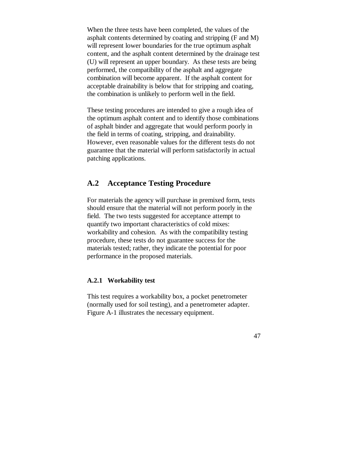When the three tests have been completed, the values of the asphalt contents determined by coating and stripping (F and M) will represent lower boundaries for the true optimum asphalt content, and the asphalt content determined by the drainage test (U) will represent an upper boundary. As these tests are being performed, the compatibility of the asphalt and aggregate combination will become apparent. If the asphalt content for acceptable drainability is below that for stripping and coating, the combination is unlikely to perform well in the field.

These testing procedures are intended to give a rough idea of the optimum asphalt content and to identify those combinations of asphalt binder and aggregate that would perform poorly in the field in terms of coating, stripping, and drainability. However, even reasonable values for the different tests do not guarantee that the material will perform satisfactorily in actual patching applications.

# **A.2 Acceptance Testing Procedure**

For materials the agency will purchase in premixed form, tests should ensure that the material will not perform poorly in the field. The two tests suggested for acceptance attempt to quantify two important characteristics of cold mixes: workability and cohesion. As with the compatibility testing procedure, these tests do not guarantee success for the materials tested; rather, they indicate the potential for poor performance in the proposed materials.

## **A.2.1 Workability test**

This test requires a workability box, a pocket penetrometer (normally used for soil testing), and a penetrometer adapter. Figure A-1 illustrates the necessary equipment.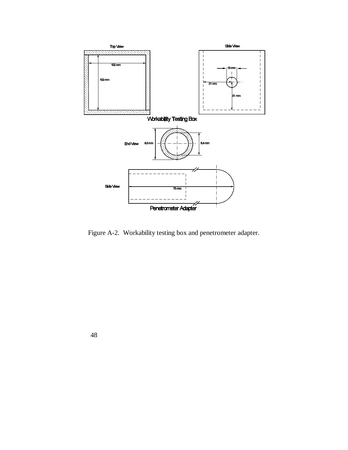

Figure A-2. Workability testing box and penetrometer adapter.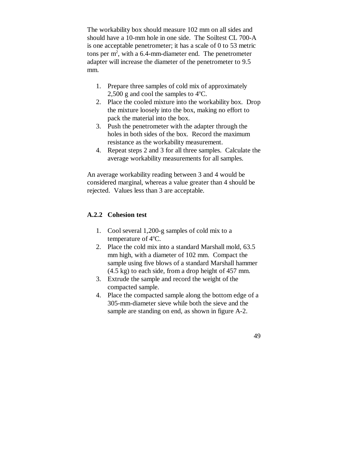The workability box should measure 102 mm on all sides and should have a 10-mm hole in one side. The Soiltest CL 700-A is one acceptable penetrometer; it has a scale of 0 to 53 metric tons per  $m^2$ , with a 6.4-mm-diameter end. The penetrometer adapter will increase the diameter of the penetrometer to 9.5 mm.

- 1. Prepare three samples of cold mix of approximately 2,500 g and cool the samples to  $4^{\circ}$ C.
- 2. Place the cooled mixture into the workability box. Drop the mixture loosely into the box, making no effort to pack the material into the box.
- 3. Push the penetrometer with the adapter through the holes in both sides of the box. Record the maximum resistance as the workability measurement.
- 4. Repeat steps 2 and 3 for all three samples. Calculate the average workability measurements for all samples.

An average workability reading between 3 and 4 would be considered marginal, whereas a value greater than 4 should be rejected. Values less than 3 are acceptable.

### **A.2.2 Cohesion test**

- 1. Cool several 1,200-g samples of cold mix to a temperature of  $4^{\circ}$ C.
- 2. Place the cold mix into a standard Marshall mold, 63.5 mm high, with a diameter of 102 mm. Compact the sample using five blows of a standard Marshall hammer (4.5 kg) to each side, from a drop height of 457 mm.
- 3. Extrude the sample and record the weight of the compacted sample.
- 4. Place the compacted sample along the bottom edge of a 305-mm-diameter sieve while both the sieve and the sample are standing on end, as shown in figure A-2.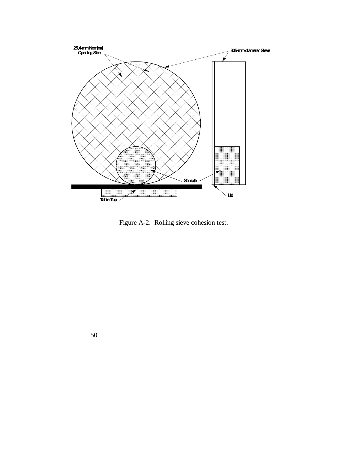

Figure A-2. Rolling sieve cohesion test.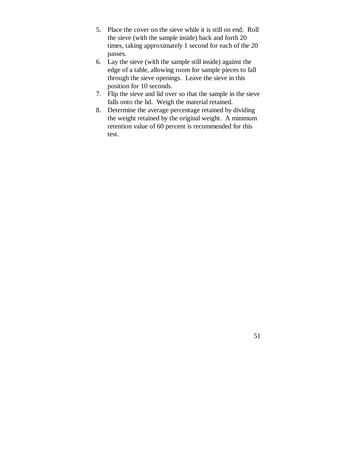- 5. Place the cover on the sieve while it is still on end. Roll the sieve (with the sample inside) back and forth 20 times, taking approximately 1 second for each of the 20 passes.
- 6. Lay the sieve (with the sample still inside) against the edge of a table, allowing room for sample pieces to fall through the sieve openings. Leave the sieve in this position for 10 seconds.
- 7. Flip the sieve and lid over so that the sample in the sieve falls onto the lid. Weigh the material retained.
- 8. Determine the average percentage retained by dividing the weight retained by the original weight. A minimum retention value of 60 percent is recommended for this test.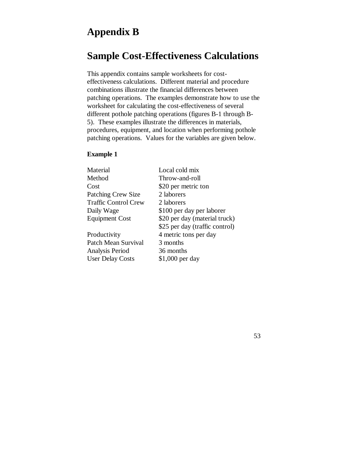# **Appendix B**

# **Sample Cost-Effectiveness Calculations**

This appendix contains sample worksheets for costeffectiveness calculations. Different material and procedure combinations illustrate the financial differences between patching operations. The examples demonstrate how to use the worksheet for calculating the cost-effectiveness of several different pothole patching operations (figures B-1 through B-5). These examples illustrate the differences in materials, procedures, equipment, and location when performing pothole patching operations. Values for the variables are given below.

#### **Example 1**

| Material                    | Local cold mix                 |
|-----------------------------|--------------------------------|
| Method                      | Throw-and-roll                 |
| Cost                        | \$20 per metric ton            |
| <b>Patching Crew Size</b>   | 2 laborers                     |
| <b>Traffic Control Crew</b> | 2 laborers                     |
| Daily Wage                  | \$100 per day per laborer      |
| <b>Equipment Cost</b>       | \$20 per day (material truck)  |
|                             | \$25 per day (traffic control) |
| Productivity                | 4 metric tons per day          |
| Patch Mean Survival         | 3 months                       |
| Analysis Period             | 36 months                      |
| <b>User Delay Costs</b>     | \$1,000 per day                |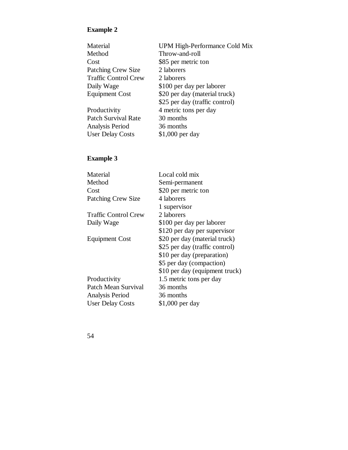#### **Example 2**

| Material                    | <b>UPM High-Perform</b> |
|-----------------------------|-------------------------|
| Method                      | Throw-and-roll          |
| Cost                        | \$85 per metric ton     |
| <b>Patching Crew Size</b>   | 2 laborers              |
| <b>Traffic Control Crew</b> | 2 laborers              |
| Daily Wage                  | \$100 per day per la    |
| <b>Equipment Cost</b>       | \$20 per day (mater     |
|                             |                         |

Productivity Patch Survival Rate Analysis Period User Delay Costs \$1,000 per day

#### **Example 3**

| Material                                                                    | UPM High-Performance Cold Mix  |
|-----------------------------------------------------------------------------|--------------------------------|
| Method                                                                      | Throw-and-roll                 |
| Cost                                                                        | \$85 per metric ton            |
| <b>Patching Crew Size</b>                                                   | 2 laborers                     |
| <b>Traffic Control Crew</b>                                                 | 2 laborers                     |
| Daily Wage                                                                  | \$100 per day per laborer      |
| <b>Equipment Cost</b>                                                       | \$20 per day (material truck)  |
|                                                                             | \$25 per day (traffic control) |
| Productivity                                                                | 4 metric tons per day          |
| Patch Survival Rate                                                         | 30 months                      |
| Analysis Period                                                             | 36 months                      |
| $\prod_{\alpha\alpha} \prod_{\alpha} \prod_{\alpha\alpha} C_{\alpha\alpha}$ | $01.000 \text{ mm}$            |

| Material                    | Local cold mix                 |
|-----------------------------|--------------------------------|
| Method                      | Semi-permanent                 |
| Cost                        | \$20 per metric ton            |
| <b>Patching Crew Size</b>   | 4 laborers                     |
|                             | 1 supervisor                   |
| <b>Traffic Control Crew</b> | 2 laborers                     |
| Daily Wage                  | \$100 per day per laborer      |
|                             | \$120 per day per supervisor   |
| <b>Equipment Cost</b>       | \$20 per day (material truck)  |
|                             | \$25 per day (traffic control) |
|                             | \$10 per day (preparation)     |
|                             | \$5 per day (compaction)       |
|                             | \$10 per day (equipment truck) |
| Productivity                | 1.5 metric tons per day        |
| Patch Mean Survival         | 36 months                      |
| Analysis Period             | 36 months                      |
| <b>User Delay Costs</b>     | \$1,000 per day                |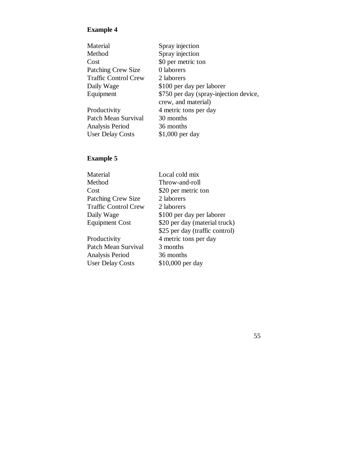#### **Example 4**

| Material                    | Spray injection                        |
|-----------------------------|----------------------------------------|
| Method                      | Spray injection                        |
| Cost                        | \$0 per metric ton                     |
| <b>Patching Crew Size</b>   | 0 laborers                             |
| <b>Traffic Control Crew</b> | 2 laborers                             |
| Daily Wage                  | \$100 per day per laborer              |
| Equipment                   | \$750 per day (spray-injection device, |
|                             | crew, and material)                    |
| Productivity                | 4 metric tons per day                  |
| Patch Mean Survival         | 30 months                              |
| Analysis Period             | 36 months                              |
| <b>User Delay Costs</b>     | $$1,000$ per day                       |
|                             |                                        |

### **Example 5**

| Material                    | Local cold mix                 |
|-----------------------------|--------------------------------|
| Method                      | Throw-and-roll                 |
| Cost                        | \$20 per metric ton            |
| <b>Patching Crew Size</b>   | 2 laborers                     |
| <b>Traffic Control Crew</b> | 2 laborers                     |
| Daily Wage                  | \$100 per day per laborer      |
| <b>Equipment Cost</b>       | \$20 per day (material truck)  |
|                             | \$25 per day (traffic control) |
| Productivity                | 4 metric tons per day          |
| Patch Mean Survival         | 3 months                       |
| Analysis Period             | 36 months                      |
| <b>User Delay Costs</b>     | \$10,000 per day               |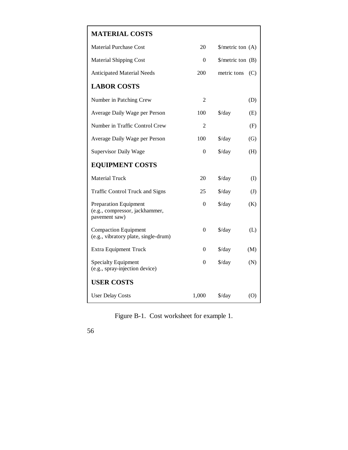## **MATERIAL COSTS**

| <b>Material Purchase Cost</b>                                                   | 20               | $\frac{\pi}{3}$ metric ton (A)           |              |
|---------------------------------------------------------------------------------|------------------|------------------------------------------|--------------|
| <b>Material Shipping Cost</b>                                                   | 0                | $\frac{\text{S}}{\text{metric}}$ ton (B) |              |
| <b>Anticipated Material Needs</b>                                               | 200              | metric tons                              | (C)          |
| <b>LABOR COSTS</b>                                                              |                  |                                          |              |
| Number in Patching Crew                                                         | $\overline{2}$   |                                          | (D)          |
| Average Daily Wage per Person                                                   | 100              | \$/day                                   | (E)          |
| Number in Traffic Control Crew                                                  | $\overline{2}$   |                                          | (F)          |
| Average Daily Wage per Person                                                   | 100              | $\frac{\sqrt{2}}{2}$                     | (G)          |
| <b>Supervisor Daily Wage</b>                                                    | $\theta$         | $\frac{\text{d}}{\text{d}}$              | (H)          |
| <b>EQUIPMENT COSTS</b>                                                          |                  |                                          |              |
| <b>Material Truck</b>                                                           | 20               | \$/day                                   | (I)          |
| <b>Traffic Control Truck and Signs</b>                                          | 25               | $\frac{\text{d}}{\text{d}}$              | $\mathrm{J}$ |
| <b>Preparation Equipment</b><br>(e.g., compressor, jackhammer,<br>pavement saw) | $\boldsymbol{0}$ | $\frac{\sqrt{2}}{2}$                     | (K)          |
| <b>Compaction Equipment</b><br>(e.g., vibratory plate, single-drum)             | $\theta$         | $\frac{\sqrt{2}}{2}$                     | (L)          |
| <b>Extra Equipment Truck</b>                                                    | 0                | $\frac{\text{d}}{\text{d}}$              | (M)          |
| <b>Specialty Equipment</b><br>(e.g., spray-injection device)                    | $\boldsymbol{0}$ | $\frac{\sqrt{2}}{2}$                     | (N)          |
| <b>USER COSTS</b>                                                               |                  |                                          |              |
| <b>User Delay Costs</b>                                                         | 1,000            | $\frac{\text{d}}{\text{d}}$              | (0)          |

Figure B-1. Cost worksheet for example 1.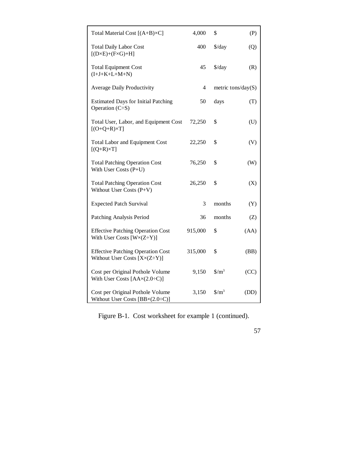| Total Material Cost $[(A+B)\times C]$                                                  | 4,000   | \$                            | (P)  |
|----------------------------------------------------------------------------------------|---------|-------------------------------|------|
| <b>Total Daily Labor Cost</b><br>$[(D \times E) + (F \times G) + H]$                   | 400     | $\frac{\text{d}}{\text{d}}$   | (Q)  |
| <b>Total Equipment Cost</b><br>$(I+J+K+L+M+N)$                                         | 45      | $\frac{\text{d}}{\text{d}}$   | (R)  |
| <b>Average Daily Productivity</b>                                                      | 4       | metric tons/day $(S)$         |      |
| <b>Estimated Days for Initial Patching</b><br>Operation $(C\dot{=}S)$                  | 50      | days                          | (T)  |
| Total User, Labor, and Equipment Cost<br>$[(O+Q+R)\times T]$                           | 72,250  | \$                            | (U)  |
| <b>Total Labor and Equipment Cost</b><br>$[(Q+R)\times T]$                             | 22,250  | \$                            | (V)  |
| <b>Total Patching Operation Cost</b><br>With User Costs (P+U)                          | 76,250  | \$                            | (W)  |
| <b>Total Patching Operation Cost</b><br>Without User Costs (P+V)                       | 26,250  | \$                            | (X)  |
| <b>Expected Patch Survival</b>                                                         | 3       | months                        | (Y)  |
| Patching Analysis Period                                                               | 36      | months                        | (Z)  |
| <b>Effective Patching Operation Cost</b><br>With User Costs $[W \times (Z \div Y)]$    | 915,000 | \$                            | (AA) |
| <b>Effective Patching Operation Cost</b><br>Without User Costs $[X \times (Z \div Y)]$ | 315,000 | \$                            | (BB) |
| Cost per Original Pothole Volume<br>With User Costs $[AAx(2.0+C)]$                     | 9,150   | $\frac{\text{S}}{\text{m}^3}$ | (CC) |
| Cost per Original Pothole Volume<br>Without User Costs $[BB \times (2.0 \div C)]$      | 3,150   | $\frac{\text{S}}{\text{m}^3}$ | (DD) |

Figure B-1. Cost worksheet for example 1 (continued).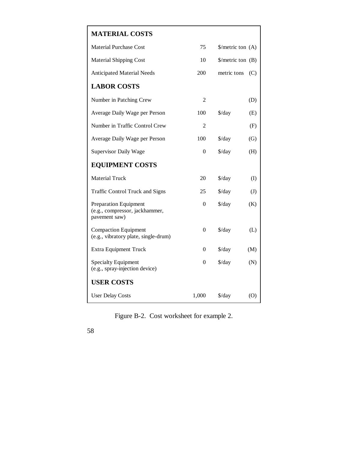## **MATERIAL COSTS**

| <b>Material Purchase Cost</b>                                            | 75             | $\frac{\pi}{2}$ /metric ton (A)          |                            |
|--------------------------------------------------------------------------|----------------|------------------------------------------|----------------------------|
| <b>Material Shipping Cost</b>                                            | 10             | $\frac{\text{S}}{\text{metric}}$ ton (B) |                            |
| <b>Anticipated Material Needs</b>                                        | 200            | metric tons                              | (C)                        |
| <b>LABOR COSTS</b>                                                       |                |                                          |                            |
| Number in Patching Crew                                                  | $\overline{2}$ |                                          | (D)                        |
| Average Daily Wage per Person                                            | 100            | $\frac{\text{d}}{\text{d}}$              | (E)                        |
| Number in Traffic Control Crew                                           | $\overline{2}$ |                                          | (F)                        |
| Average Daily Wage per Person                                            | 100            | $\frac{\text{d}}{\text{d}}$              | (G)                        |
| <b>Supervisor Daily Wage</b>                                             | $\mathbf{0}$   | $\frac{\text{d}}{\text{d}}$              | (H)                        |
| <b>EQUIPMENT COSTS</b>                                                   |                |                                          |                            |
| <b>Material Truck</b>                                                    | 20             | $\frac{\text{d}}{\text{d}}$              | (I)                        |
| <b>Traffic Control Truck and Signs</b>                                   | 25             | $\frac{\text{d}}{\text{d}}$              | $\left( \mathrm{J}\right)$ |
| Preparation Equipment<br>(e.g., compressor, jackhammer,<br>pavement saw) | $\overline{0}$ | $\frac{\text{d}}{\text{d}}$              | (K)                        |
| <b>Compaction Equipment</b><br>(e.g., vibratory plate, single-drum)      | 0              | $\frac{\text{d}}{\text{d}}$              | (L)                        |
| <b>Extra Equipment Truck</b>                                             | 0              | $\frac{\sqrt{3}}{4}$                     | (M)                        |
| <b>Specialty Equipment</b><br>(e.g., spray-injection device)             | $\theta$       | $\frac{\text{d}}{\text{d}}$              | (N)                        |
| <b>USER COSTS</b>                                                        |                |                                          |                            |
| <b>User Delay Costs</b>                                                  | 1,000          | $\frac{\text{d}}{\text{d}}$              | (0)                        |

Figure B-2. Cost worksheet for example 2.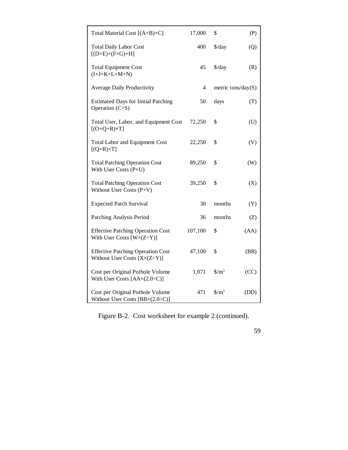| Total Material Cost [(A+B)×C]                                                          | 17,000         | \$                              | (P)  |
|----------------------------------------------------------------------------------------|----------------|---------------------------------|------|
| <b>Total Daily Labor Cost</b><br>$[(D \times E) + (F \times G) + H]$                   | 400            | $\frac{\sqrt{2}}{2}$            | (Q)  |
| <b>Total Equipment Cost</b><br>$(I+J+K+L+M+N)$                                         | 45             | $\frac{\sqrt{2}}{2}$            | (R)  |
| <b>Average Daily Productivity</b>                                                      | $\overline{4}$ | metric tons/day $(S)$           |      |
| <b>Estimated Days for Initial Patching</b><br>Operation $(C\dot{=}S)$                  | 50             | days                            | (T)  |
| Total User, Labor, and Equipment Cost<br>$[(O+Q+R)\times T]$                           | 72,250         | \$                              | (U)  |
| <b>Total Labor and Equipment Cost</b><br>$[(Q+R)\times T]$                             | 22,250         | \$                              | (V)  |
| <b>Total Patching Operation Cost</b><br>With User Costs (P+U)                          | 89,250         | \$                              | (W)  |
| <b>Total Patching Operation Cost</b><br>Without User Costs (P+V)                       | 39,250         | \$                              | (X)  |
| <b>Expected Patch Survival</b>                                                         | 30             | months                          | (Y)  |
| Patching Analysis Period                                                               | 36             | months                          | (Z)  |
| <b>Effective Patching Operation Cost</b><br>With User Costs $[W \times (Z \div Y)]$    | 107,100        | \$                              | (AA) |
| <b>Effective Patching Operation Cost</b><br>Without User Costs $[X \times (Z \div Y)]$ | 47,100         | \$                              | (BB) |
| Cost per Original Pothole Volume<br>With User Costs $[AAx(2.0+C)]$                     | 1,071          | $\frac{\text{S}}{\text{m}^3}$   | (CC) |
| Cost per Original Pothole Volume<br>Without User Costs $[BB \times (2.0 \div C)]$      | 471            | $\frac{\text{m}^3}{\text{m}^3}$ | (DD) |

Figure B-2. Cost worksheet for example 2 (continued).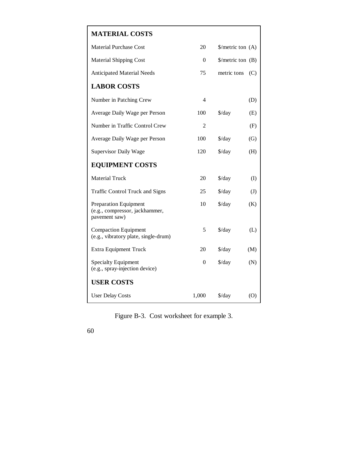## **MATERIAL COSTS** Material Purchase Cost 20 \$/metric ton (A) Material Shipping Cost 0 \$/metric ton (B) Anticipated Material Needs 75 metric tons (C) **LABOR COSTS** Number in Patching Crew 4 (D) Average Daily Wage per Person 100 \$/day (E) Number in Traffic Control Crew 2 (F) Average Daily Wage per Person 100 \$/day (G) Supervisor Daily Wage 120 \$/day (H) **EQUIPMENT COSTS** Material Truck 20 \$/day (I) Traffic Control Truck and Signs 25 \$/day (J) Preparation Equipment 10 \$/day (K) (e.g., compressor, jackhammer, pavement saw) Compaction Equipment 5 \$/day (L) (e.g., vibratory plate, single-drum) Extra Equipment Truck 20 \$/day (M)  $\text{Specificity}$  Equipment  $\qquad \qquad 0 \qquad \text{$\frac{\$}{day}$} \qquad \text{$(\mathbf{N})$}$ (e.g., spray-injection device) **USER COSTS** User Delay Costs 1,000 \$/day (O)

Figure B-3. Cost worksheet for example 3.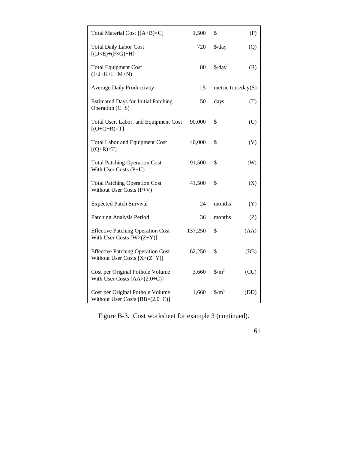| Total Material Cost [(A+B)×C]                                                          | 1,500   | \$                            | (P)  |
|----------------------------------------------------------------------------------------|---------|-------------------------------|------|
| <b>Total Daily Labor Cost</b><br>$[(D \times E) + (F \times G) + H]$                   | 720     | $\frac{\sqrt{2}}{2}$          | (Q)  |
| <b>Total Equipment Cost</b><br>$(I+J+K+L+M+N)$                                         | 80      | $\frac{\sqrt{2}}{2}$          | (R)  |
| <b>Average Daily Productivity</b>                                                      | 1.5     | metric tons/day $(S)$         |      |
| <b>Estimated Days for Initial Patching</b><br>Operation $(C\dot{=}S)$                  | 50      | days                          | (T)  |
| Total User, Labor, and Equipment Cost<br>$[(O+Q+R)\times T]$                           | 90,000  | \$                            | (U)  |
| <b>Total Labor and Equipment Cost</b><br>$[(Q+R)\times T]$                             | 40,000  | \$                            | (V)  |
| <b>Total Patching Operation Cost</b><br>With User Costs (P+U)                          | 91,500  | \$                            | (W)  |
| <b>Total Patching Operation Cost</b><br>Without User Costs (P+V)                       | 41,500  | \$                            | (X)  |
| <b>Expected Patch Survival</b>                                                         | 24      | months                        | (Y)  |
| Patching Analysis Period                                                               | 36      | months                        | (Z)  |
| <b>Effective Patching Operation Cost</b><br>With User Costs $[W \times (Z \div Y)]$    | 137,250 | \$                            | (AA) |
| <b>Effective Patching Operation Cost</b><br>Without User Costs $[X \times (Z \div Y)]$ | 62,250  | \$                            | (BB) |
| Cost per Original Pothole Volume<br>With User Costs $[AAx(2.0+C)]$                     | 3,660   | $\frac{\text{S}}{\text{m}^3}$ | (CC) |
| Cost per Original Pothole Volume<br>Without User Costs $[BB \times (2.0 \div C)]$      | 1,660   | $\frac{\text{S}}{\text{m}^3}$ | (DD) |

Figure B-3. Cost worksheet for example 3 (continued).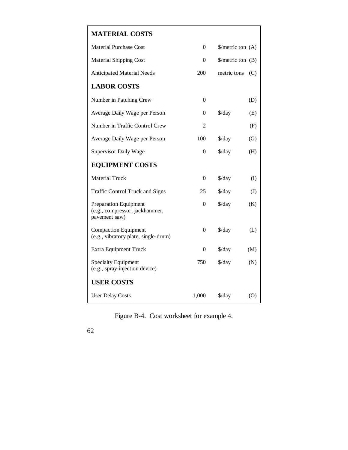#### **MATERIAL COSTS**

| <b>Material Purchase Cost</b>                                                   | $\boldsymbol{0}$ | \$/metric ton (A)              |     |
|---------------------------------------------------------------------------------|------------------|--------------------------------|-----|
| <b>Material Shipping Cost</b>                                                   | 0                | $\frac{\pi}{3}$ metric ton (B) |     |
| <b>Anticipated Material Needs</b>                                               | 200              | metric tons                    | (C) |
| <b>LABOR COSTS</b>                                                              |                  |                                |     |
| Number in Patching Crew                                                         | $\overline{0}$   |                                | (D) |
| Average Daily Wage per Person                                                   | 0                | $\frac{\sqrt{3}}{4}$           | (E) |
| Number in Traffic Control Crew                                                  | 2                |                                | (F) |
| Average Daily Wage per Person                                                   | 100              | $\frac{\sqrt{2}}{2}$           | (G) |
| <b>Supervisor Daily Wage</b>                                                    | $\boldsymbol{0}$ | $\frac{\text{d}}{\text{d}}$    | (H) |
| <b>EQUIPMENT COSTS</b>                                                          |                  |                                |     |
| <b>Material Truck</b>                                                           | $\boldsymbol{0}$ | $\frac{\sqrt{3}}{4}$           | (I) |
| <b>Traffic Control Truck and Signs</b>                                          | 25               | $\frac{\text{d}}{\text{d}}$    | (J) |
| <b>Preparation Equipment</b><br>(e.g., compressor, jackhammer,<br>pavement saw) | $\boldsymbol{0}$ | $\frac{\sqrt{2}}{2}$           | (K) |
| <b>Compaction Equipment</b><br>(e.g., vibratory plate, single-drum)             | $\boldsymbol{0}$ | $\frac{\sqrt{2}}{2}$           | (L) |
| <b>Extra Equipment Truck</b>                                                    | 0                | $\frac{\sqrt{2}}{2}$           | (M) |
| <b>Specialty Equipment</b><br>(e.g., spray-injection device)                    | 750              | $\frac{\sqrt{2}}{2}$           | (N) |
| <b>USER COSTS</b>                                                               |                  |                                |     |
| <b>User Delay Costs</b>                                                         | 1,000            | $\frac{\sqrt{2}}{2}$           | (0) |

Figure B-4. Cost worksheet for example 4.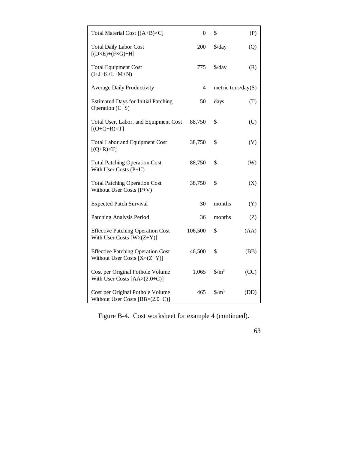| Total Material Cost $[(A+B)\times C]$                                                  | $\overline{0}$ | \$                            | (P)  |
|----------------------------------------------------------------------------------------|----------------|-------------------------------|------|
| <b>Total Daily Labor Cost</b><br>$[(D \times E) + (F \times G) + H]$                   | 200            | $\frac{\text{d}}{\text{d}}$   | (Q)  |
| <b>Total Equipment Cost</b><br>$(I+J+K+L+M+N)$                                         | 775            | $\frac{\sqrt{3}}{4}$          | (R)  |
| <b>Average Daily Productivity</b>                                                      | $\overline{4}$ | metric tons/day( $S$ )        |      |
| <b>Estimated Days for Initial Patching</b><br>Operation $(C\dot{=}S)$                  | 50             | days                          | (T)  |
| Total User, Labor, and Equipment Cost<br>$[(O+Q+R)\times T]$                           | 88,750         | \$                            | (U)  |
| <b>Total Labor and Equipment Cost</b><br>$[(Q+R)\times T]$                             | 38,750         | \$                            | (V)  |
| <b>Total Patching Operation Cost</b><br>With User Costs (P+U)                          | 88,750         | \$                            | (W)  |
| <b>Total Patching Operation Cost</b><br>Without User Costs (P+V)                       | 38,750         | \$                            | (X)  |
| <b>Expected Patch Survival</b>                                                         | 30             | months                        | (Y)  |
| Patching Analysis Period                                                               | 36             | months                        | (Z)  |
| <b>Effective Patching Operation Cost</b><br>With User Costs $[W \times (Z \div Y)]$    | 106,500        | \$                            | (AA) |
| <b>Effective Patching Operation Cost</b><br>Without User Costs $[X \times (Z \div Y)]$ | 46,500         | \$                            | (BB) |
| Cost per Original Pothole Volume<br>With User Costs $[AAx(2.0+C)]$                     | 1,065          | $\frac{\text{S}}{\text{m}^3}$ | (CC) |
| Cost per Original Pothole Volume<br>Without User Costs $[BB \times (2.0 \div C)]$      | 465            | $\frac{\text{S}}{\text{m}^3}$ | (DD) |

Figure B-4. Cost worksheet for example 4 (continued).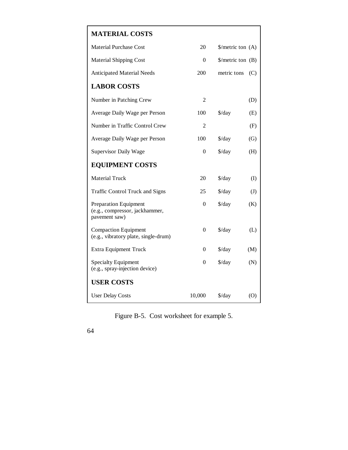#### **MATERIAL COSTS**

| <b>Material Purchase Cost</b>                                                   | 20               | $\frac{\pi}{2}$ /metric ton (A) |     |
|---------------------------------------------------------------------------------|------------------|---------------------------------|-----|
| <b>Material Shipping Cost</b>                                                   | 0                | $\frac{\pi}{3}$ metric ton (B)  |     |
| <b>Anticipated Material Needs</b>                                               | 200              | metric tons                     | (C) |
| <b>LABOR COSTS</b>                                                              |                  |                                 |     |
| Number in Patching Crew                                                         | $\overline{2}$   |                                 | (D) |
| Average Daily Wage per Person                                                   | 100              | \$/day                          | (E) |
| Number in Traffic Control Crew                                                  | $\overline{2}$   |                                 | (F) |
| Average Daily Wage per Person                                                   | 100              | \$/day                          | (G) |
| <b>Supervisor Daily Wage</b>                                                    | $\theta$         | $\frac{\sqrt{2}}{2}$            | (H) |
| <b>EQUIPMENT COSTS</b>                                                          |                  |                                 |     |
| <b>Material Truck</b>                                                           | 20               | \$/day                          | (I) |
| <b>Traffic Control Truck and Signs</b>                                          | 25               | $\frac{\text{d}}{\text{d}}$     | (J) |
| <b>Preparation Equipment</b><br>(e.g., compressor, jackhammer,<br>pavement saw) | $\boldsymbol{0}$ | $\frac{\text{d}}{\text{d}}$     | (K) |
| <b>Compaction Equipment</b><br>(e.g., vibratory plate, single-drum)             | $\boldsymbol{0}$ | $\frac{\sqrt{2}}{2}$            | (L) |
| <b>Extra Equipment Truck</b>                                                    | $\Omega$         | $\frac{\sqrt{2}}{2}$            | (M) |
| <b>Specialty Equipment</b><br>(e.g., spray-injection device)                    | $\boldsymbol{0}$ | $\frac{\text{d}}{\text{d}}$     | (N) |
| <b>USER COSTS</b>                                                               |                  |                                 |     |
| <b>User Delay Costs</b>                                                         | 10,000           | $\frac{\text{d}}{\text{d}}$     | (0) |

Figure B-5. Cost worksheet for example 5.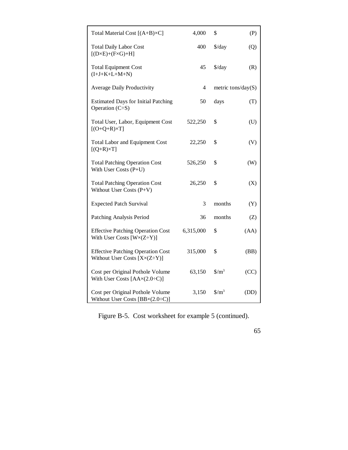| Total Material Cost [(A+B)×C]                                                          | 4,000          | \$                            | (P)  |
|----------------------------------------------------------------------------------------|----------------|-------------------------------|------|
| <b>Total Daily Labor Cost</b><br>$[(D \times E) + (F \times G) + H]$                   | 400            | $\frac{\text{d}}{\text{d}}$   | (Q)  |
| <b>Total Equipment Cost</b><br>$(I+J+K+L+M+N)$                                         | 45             | $\frac{\sqrt{2}}{2}$          | (R)  |
| <b>Average Daily Productivity</b>                                                      | $\overline{4}$ | metric tons/day $(S)$         |      |
| <b>Estimated Days for Initial Patching</b><br>Operation $(C\dot{=}S)$                  | 50             | days                          | (T)  |
| Total User, Labor, Equipment Cost<br>$[(O+Q+R)\times T]$                               | 522,250        | \$                            | (U)  |
| <b>Total Labor and Equipment Cost</b><br>$[(Q+R)\times T]$                             | 22,250         | \$                            | (V)  |
| <b>Total Patching Operation Cost</b><br>With User Costs (P+U)                          | 526,250        | \$                            | (W)  |
| <b>Total Patching Operation Cost</b><br>Without User Costs (P+V)                       | 26,250         | \$                            | (X)  |
| <b>Expected Patch Survival</b>                                                         | 3              | months                        | (Y)  |
| Patching Analysis Period                                                               | 36             | months                        | (Z)  |
| <b>Effective Patching Operation Cost</b><br>With User Costs $[W \times (Z \div Y)]$    | 6,315,000      | \$                            | (AA) |
| <b>Effective Patching Operation Cost</b><br>Without User Costs $[X \times (Z \div Y)]$ | 315,000        | \$                            | (BB) |
| Cost per Original Pothole Volume<br>With User Costs $[AAx(2.0+C)]$                     | 63,150         | $\frac{\text{S}}{\text{m}^3}$ | (CC) |
| Cost per Original Pothole Volume<br>Without User Costs $[BB \times (2.0 \div C)]$      | 3,150          | $\frac{\text{S}}{\text{m}^3}$ | (DD) |

Figure B-5. Cost worksheet for example 5 (continued).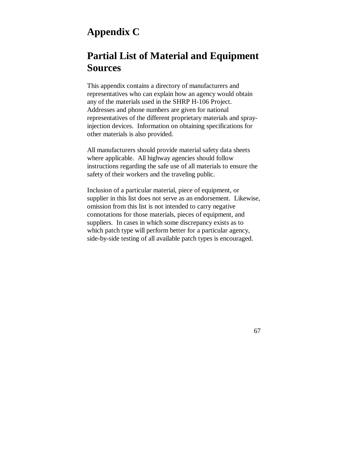# **Appendix C**

## **Partial List of Material and Equipment Sources**

This appendix contains a directory of manufacturers and representatives who can explain how an agency would obtain any of the materials used in the SHRP H-106 Project. Addresses and phone numbers are given for national representatives of the different proprietary materials and sprayinjection devices. Information on obtaining specifications for other materials is also provided.

All manufacturers should provide material safety data sheets where applicable. All highway agencies should follow instructions regarding the safe use of all materials to ensure the safety of their workers and the traveling public.

Inclusion of a particular material, piece of equipment, or supplier in this list does not serve as an endorsement. Likewise, omission from this list is not intended to carry negative connotations for those materials, pieces of equipment, and suppliers. In cases in which some discrepancy exists as to which patch type will perform better for a particular agency, side-by-side testing of all available patch types is encouraged.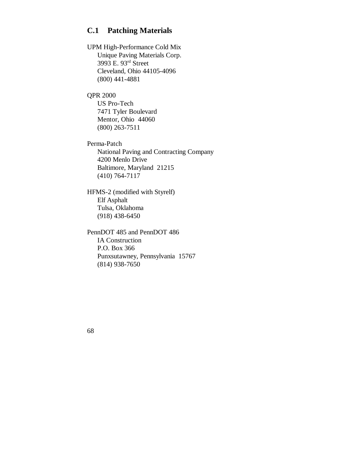### **C.1 Patching Materials**

UPM High-Performance Cold Mix Unique Paving Materials Corp. 3993 E. 93rd Street Cleveland, Ohio 44105-4096 (800) 441-4881

QPR 2000 US Pro-Tech 7471 Tyler Boulevard Mentor, Ohio 44060 (800) 263-7511

Perma-Patch National Paving and Contracting Company 4200 Menlo Drive Baltimore, Maryland 21215 (410) 764-7117

HFMS-2 (modified with Styrelf) Elf Asphalt Tulsa, Oklahoma (918) 438-6450

PennDOT 485 and PennDOT 486 IA Construction P.O. Box 366 Punxsutawney, Pennsylvania 15767 (814) 938-7650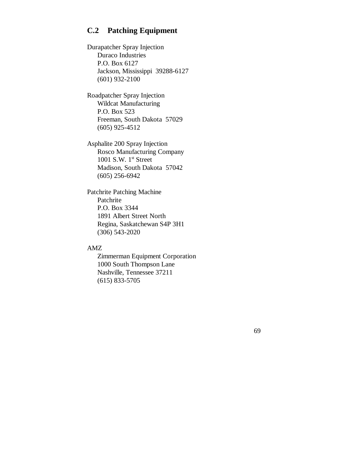### **C.2 Patching Equipment**

Durapatcher Spray Injection Duraco Industries P.O. Box 6127 Jackson, Mississippi 39288-6127 (601) 932-2100

Roadpatcher Spray Injection Wildcat Manufacturing P.O. Box 523 Freeman, South Dakota 57029 (605) 925-4512

Asphalite 200 Spray Injection Rosco Manufacturing Company 1001 S.W.  $1<sup>st</sup>$  Street Madison, South Dakota 57042 (605) 256-6942

Patchrite Patching Machine Patchrite P.O. Box 3344 1891 Albert Street North Regina, Saskatchewan S4P 3H1 (306) 543-2020

#### AMZ

Zimmerman Equipment Corporation 1000 South Thompson Lane Nashville, Tennessee 37211 (615) 833-5705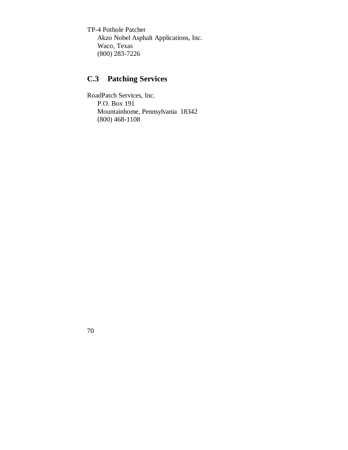TP-4 Pothole Patcher Akzo Nobel Asphalt Applications, Inc. Waco, Texas (800) 283-7226

#### **C.3 Patching Services**

RoadPatch Services, Inc. P.O. Box 191 Mountainhome, Pennsylvania 18342 (800) 468-1108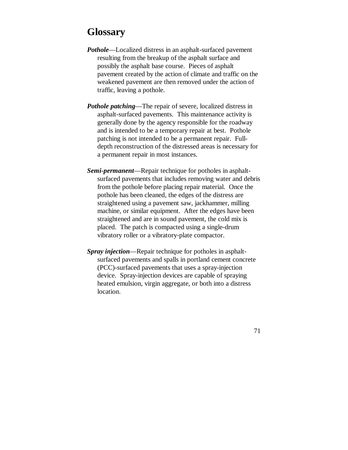### **Glossary**

- *Pothole* Localized distress in an asphalt-surfaced pavement resulting from the breakup of the asphalt surface and possibly the asphalt base course. Pieces of asphalt pavement created by the action of climate and traffic on the weakened pavement are then removed under the action of traffic, leaving a pothole.
- *Pothole patching* The repair of severe, localized distress in asphalt-surfaced pavements. This maintenance activity is generally done by the agency responsible for the roadway and is intended to be a temporary repair at best. Pothole patching is not intended to be a permanent repair. Fulldepth reconstruction of the distressed areas is necessary for a permanent repair in most instances.
- *Semi-permanent* Repair technique for potholes in asphaltsurfaced pavements that includes removing water and debris from the pothole before placing repair material. Once the pothole has been cleaned, the edges of the distress are straightened using a pavement saw, jackhammer, milling machine, or similar equipment. After the edges have been straightened and are in sound pavement, the cold mix is placed. The patch is compacted using a single-drum vibratory roller or a vibratory-plate compactor.
- *Spray injection* Repair technique for potholes in asphaltsurfaced pavements and spalls in portland cement concrete (PCC)-surfaced pavements that uses a spray-injection device. Spray-injection devices are capable of spraying heated emulsion, virgin aggregate, or both into a distress location.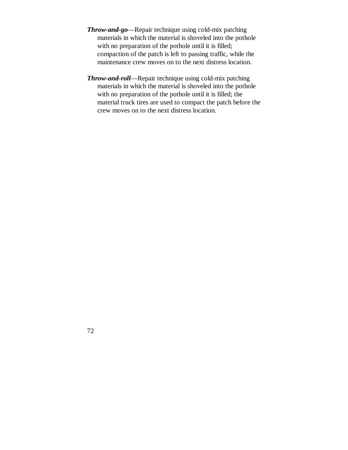- *Throw-and-go* Repair technique using cold-mix patching materials in which the material is shoveled into the pothole with no preparation of the pothole until it is filled; compaction of the patch is left to passing traffic, while the maintenance crew moves on to the next distress location.
- *Throw-and-roll* Repair technique using cold-mix patching materials in which the material is shoveled into the pothole with no preparation of the pothole until it is filled; the material truck tires are used to compact the patch before the crew moves on to the next distress location.